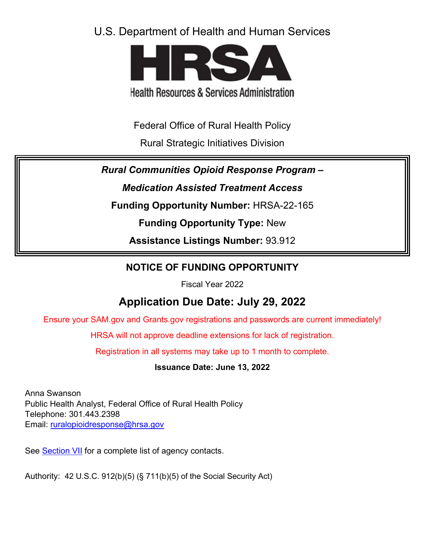# U.S. Department of Health and Human Services



**Health Resources & Services Administration** 

Federal Office of Rural Health Policy

Rural Strategic Initiatives Division

*Rural Communities Opioid Response Program –* 

*Medication Assisted Treatment Access*

**Funding Opportunity Number:** HRSA-22-165

**Funding Opportunity Type:** New

**Assistance Listings Number:** 93.912

# **NOTICE OF FUNDING OPPORTUNITY**

Fiscal Year 2022

# **Application Due Date: July 29, 2022**

Ensure your SAM.gov and Grants.gov registrations and passwords are current immediately!

HRSA will not approve deadline extensions for lack of registration.

Registration in all systems may take up to 1 month to complete.

**Issuance Date: June 13, 2022**

Anna Swanson Public Health Analyst, Federal Office of Rural Health Policy Telephone: 301.443.2398 Email: [ruralopioidresponse@hrsa.gov](mailto:ruralopioidresponse@hrsa.gov)

See [Section VII](#page-42-0) for a complete list of agency contacts.

Authority: 42 U.S.C. 912(b)(5) (§ 711(b)(5) of the Social Security Act)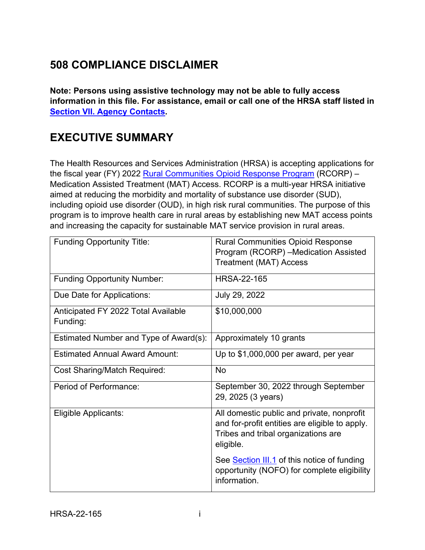# **508 COMPLIANCE DISCLAIMER**

**Note: Persons using assistive technology may not be able to fully access information in this file. For assistance, email or call one of the HRSA staff listed in [Section VII. Agency Contacts.](#page-42-0)**

# **EXECUTIVE SUMMARY**

The Health Resources and Services Administration (HRSA) is accepting applications for the fiscal year (FY) 2022 [Rural Communities Opioid Response Program](https://www.hrsa.gov/rural-health/rcorp) (RCORP) – Medication Assisted Treatment (MAT) Access. RCORP is a multi-year HRSA initiative aimed at reducing the morbidity and mortality of substance use disorder (SUD), including opioid use disorder (OUD), in high risk rural communities. The purpose of this program is to improve health care in rural areas by establishing new MAT access points and increasing the capacity for sustainable MAT service provision in rural areas.

| <b>Funding Opportunity Title:</b>               | <b>Rural Communities Opioid Response</b>                                                                                                         |
|-------------------------------------------------|--------------------------------------------------------------------------------------------------------------------------------------------------|
|                                                 | Program (RCORP) -Medication Assisted                                                                                                             |
|                                                 | <b>Treatment (MAT) Access</b>                                                                                                                    |
| <b>Funding Opportunity Number:</b>              | <b>HRSA-22-165</b>                                                                                                                               |
| Due Date for Applications:                      | July 29, 2022                                                                                                                                    |
| Anticipated FY 2022 Total Available<br>Funding: | \$10,000,000                                                                                                                                     |
| Estimated Number and Type of Award(s):          | Approximately 10 grants                                                                                                                          |
| <b>Estimated Annual Award Amount:</b>           | Up to \$1,000,000 per award, per year                                                                                                            |
| <b>Cost Sharing/Match Required:</b>             | <b>No</b>                                                                                                                                        |
| Period of Performance:                          | September 30, 2022 through September<br>29, 2025 (3 years)                                                                                       |
| Eligible Applicants:                            | All domestic public and private, nonprofit<br>and for-profit entities are eligible to apply.<br>Tribes and tribal organizations are<br>eligible. |
|                                                 | See <b>Section III.1</b> of this notice of funding<br>opportunity (NOFO) for complete eligibility<br>information.                                |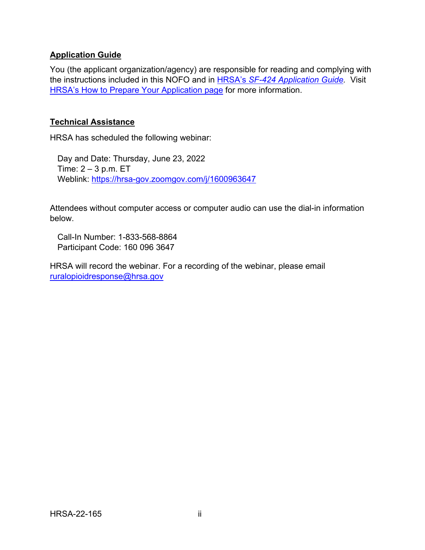### **Application Guide**

You (the applicant organization/agency) are responsible for reading and complying with the instructions included in this NOFO and in HRSA's *SF-424 [Application Guide.](http://www.hrsa.gov/grants/apply/applicationguide/sf424guide.pdf)* Visit [HRSA's How to Prepare Your Application page](https://www.hrsa.gov/grants/apply-for-a-grant/prepare-your-application) for more information.

#### **Technical Assistance**

HRSA has scheduled the following webinar:

Day and Date: Thursday, June 23, 2022 Time:  $2 - 3$  p.m. ET Weblink:<https://hrsa-gov.zoomgov.com/j/1600963647>

Attendees without computer access or computer audio can use the dial-in information below.

Call-In Number: 1-833-568-8864 Participant Code: 160 096 3647

HRSA will record the webinar. For a recording of the webinar, please email [ruralopioidresponse@hrsa.gov](mailto:ruralopioidresponse@hrsa.gov)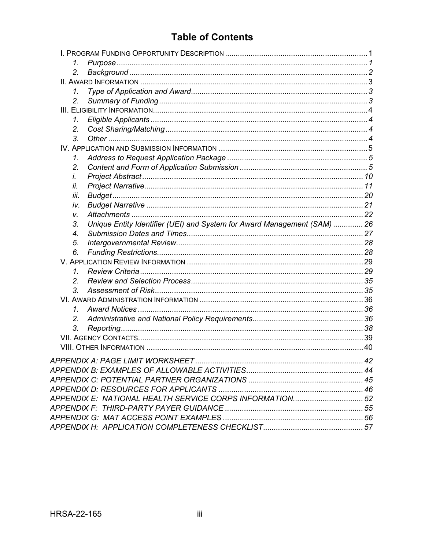# **Table of Contents**

| 1.              |                                                                          |  |
|-----------------|--------------------------------------------------------------------------|--|
| 2.              |                                                                          |  |
|                 |                                                                          |  |
| 1.              |                                                                          |  |
| 2.              |                                                                          |  |
|                 |                                                                          |  |
| 1.              |                                                                          |  |
| 2.              |                                                                          |  |
| 3.              |                                                                          |  |
|                 |                                                                          |  |
| $\mathcal{I}$ . |                                                                          |  |
| 2.              |                                                                          |  |
| İ.              |                                                                          |  |
| ii.             |                                                                          |  |
| iii.            |                                                                          |  |
| iv.             |                                                                          |  |
| V.              |                                                                          |  |
| 3.              | Unique Entity Identifier (UEI) and System for Award Management (SAM)  26 |  |
| 4.              |                                                                          |  |
| 5.              |                                                                          |  |
| 6.              |                                                                          |  |
|                 |                                                                          |  |
| 1.              |                                                                          |  |
| 2.              |                                                                          |  |
| 3.              |                                                                          |  |
|                 |                                                                          |  |
| 1.              |                                                                          |  |
| 2.              |                                                                          |  |
| 3.              |                                                                          |  |
|                 |                                                                          |  |
|                 |                                                                          |  |
|                 |                                                                          |  |
|                 |                                                                          |  |
|                 |                                                                          |  |
|                 |                                                                          |  |
|                 | APPENDIX E: NATIONAL HEALTH SERVICE CORPS INFORMATION52                  |  |
|                 |                                                                          |  |
|                 |                                                                          |  |
|                 |                                                                          |  |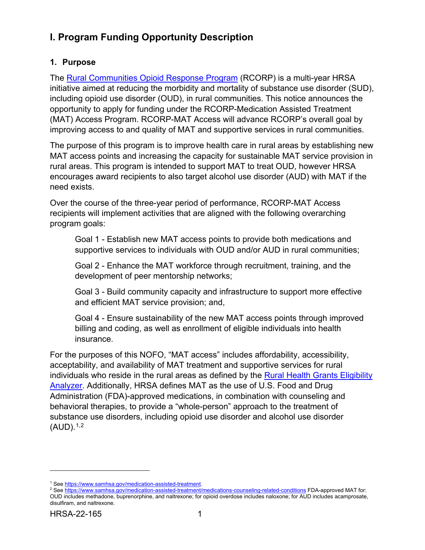# <span id="page-4-0"></span>**I. Program Funding Opportunity Description**

## <span id="page-4-1"></span>**1. Purpose**

The [Rural Communities Opioid Response Program](https://www.hrsa.gov/rural-health/rcorp) (RCORP) is a multi-year HRSA initiative aimed at reducing the morbidity and mortality of substance use disorder (SUD), including opioid use disorder (OUD), in rural communities. This notice announces the opportunity to apply for funding under the RCORP-Medication Assisted Treatment (MAT) Access Program. RCORP-MAT Access will advance RCORP's overall goal by improving access to and quality of MAT and supportive services in rural communities.

The purpose of this program is to improve health care in rural areas by establishing new MAT access points and increasing the capacity for sustainable MAT service provision in rural areas. This program is intended to support MAT to treat OUD, however HRSA encourages award recipients to also target alcohol use disorder (AUD) with MAT if the need exists.

Over the course of the three-year period of performance, RCORP-MAT Access recipients will implement activities that are aligned with the following overarching program goals:

Goal 1 - Establish new MAT access points to provide both medications and supportive services to individuals with OUD and/or AUD in rural communities;

Goal 2 - Enhance the MAT workforce through recruitment, training, and the development of peer mentorship networks;

Goal 3 - Build community capacity and infrastructure to support more effective and efficient MAT service provision; and,

Goal 4 - Ensure sustainability of the new MAT access points through improved billing and coding, as well as enrollment of eligible individuals into health insurance.

For the purposes of this NOFO, "MAT access" includes affordability, accessibility, acceptability, and availability of MAT treatment and supportive services for rural individuals who reside in the rural areas as defined by the [Rural Health Grants Eligibility](https://data.hrsa.gov/tools/rural-health)  [Analyzer.](https://data.hrsa.gov/tools/rural-health) Additionally, HRSA defines MAT as the use of U.S. Food and Drug Administration (FDA)-approved medications, in combination with counseling and behavioral therapies, to provide a "whole-person" approach to the treatment of substance use disorders, including opioid use disorder and alcohol use disorder (AUD). [1,](#page-4-2)[2](#page-4-3) 

<sup>&</sup>lt;sup>1</sup> See https://www.samhsa.gov/medication-assisted-treatment.

<span id="page-4-3"></span><span id="page-4-2"></span><sup>&</sup>lt;sup>1</sup> See <u>https://www.samhsa.gov/medication-assisted-treatment</u>.<br><sup>2</sup> See <u>https://www.samhsa.gov/medication-assisted-treatment/medications-counseling-related-conditions FDA-approved MAT for:</u> OUD includes methadone, buprenorphine, and naltrexone; for opioid overdose includes naloxone; for AUD includes acamprosate, disulfiram, and naltrexone.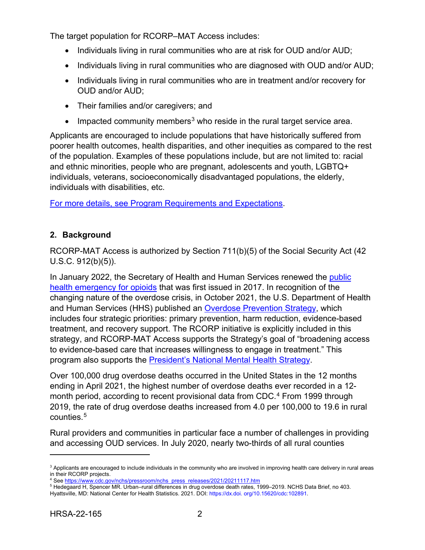The target population for RCORP–MAT Access includes:

- Individuals living in rural communities who are at risk for OUD and/or AUD;
- Individuals living in rural communities who are diagnosed with OUD and/or AUD;
- Individuals living in rural communities who are in treatment and/or recovery for OUD and/or AUD;
- Their families and/or caregivers; and
- Impacted community members<sup>[3](#page-5-1)</sup> who reside in the rural target service area.

Applicants are encouraged to include populations that have historically suffered from poorer health outcomes, health disparities, and other inequities as compared to the rest of the population. Examples of these populations include, but are not limited to: racial and ethnic minorities, people who are pregnant, adolescents and youth, LGBTQ+ individuals, veterans, socioeconomically disadvantaged populations, the elderly, individuals with disabilities, etc.

For more details, see [Program Requirements and Expectations.](#page-9-0)

## <span id="page-5-0"></span>**2. Background**

RCORP-MAT Access is authorized by Section 711(b)(5) of the Social Security Act (42 U.S.C. 912(b)(5)).

In January 2022, the Secretary of Health and Human Services renewed the [public](https://aspr.hhs.gov/legal/PHE/Pages/Opioid-3Jan22.aspx)  [health emergency for opioids](https://aspr.hhs.gov/legal/PHE/Pages/Opioid-3Jan22.aspx) that was first issued in 2017. In recognition of the changing nature of the overdose crisis, in October 2021, the U.S. Department of Health and Human Services (HHS) published an [Overdose Prevention Strategy,](https://www.hhs.gov/overdose-prevention/) which includes four strategic priorities: primary prevention, harm reduction, evidence-based treatment, and recovery support. The RCORP initiative is explicitly included in this strategy, and RCORP-MAT Access supports the Strategy's goal of "broadening access to evidence-based care that increases willingness to engage in treatment." This program also supports the [President's National Mental Health Strategy.](https://www.whitehouse.gov/briefing-room/statements-releases/2022/05/31/fact-sheet-biden-harris-administration-highlights-strategy-to-address-the-national-mental-health-crisis/)

Over 100,000 drug overdose deaths occurred in the United States in the 12 months ending in April 2021, the highest number of overdose deaths ever recorded in a 12- month period, according to recent provisional data from CDC.<sup>[4](#page-5-2)</sup> From 1999 through 2019, the rate of drug overdose deaths increased from 4.0 per 100,000 to 19.6 in rural counties.[5](#page-5-3) 

Rural providers and communities in particular face a number of challenges in providing and accessing OUD services. In July 2020, nearly two-thirds of all rural counties

<span id="page-5-1"></span> $^3$  Applicants are encouraged to include individuals in the community who are involved in improving health care delivery in rural areas in their RCORP projects.

<sup>&</sup>lt;sup>4</sup> See https://www.cdc.gov/nchs/pressroom/nchs\_press\_releases/2021/20211117.htm

<span id="page-5-2"></span><sup>&</sup>lt;sup>4</sup> See <u>https://www.cdc.gov/nchs/pressroom/nchs\_press\_releases/2021/20211117.htm</u><br><sup>5</sup> Hedegaard H, Spencer MR. Urban–rural differences in drug overdose death rates, 1999–2019. NCHS Data Brief, no 403.

<span id="page-5-3"></span>Hyattsville, MD: National Center for Health Statistics. 2021. DOI: https://dx.doi. org/10.15620/cdc:102891.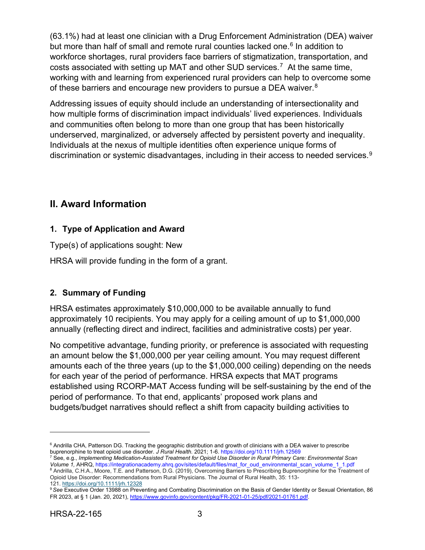(63.1%) had at least one clinician with a Drug Enforcement Administration (DEA) waiver but more than half of small and remote rural counties lacked one.<sup>[6](#page-6-3)</sup> In addition to workforce shortages, rural providers face barriers of stigmatization, transportation, and costs associated with setting up MAT and other SUD services.[7](#page-6-4) At the same time, working with and learning from experienced rural providers can help to overcome some of these barriers and encourage new providers to pursue a DEA waiver.<sup>8</sup>

Addressing issues of equity should include an understanding of intersectionality and how multiple forms of discrimination impact individuals' lived experiences. Individuals and communities often belong to more than one group that has been historically underserved, marginalized, or adversely affected by persistent poverty and inequality. Individuals at the nexus of multiple identities often experience unique forms of discrimination or systemic disadvantages, including in their access to needed services.<sup>[9](#page-6-6)</sup>

# <span id="page-6-0"></span>**II. Award Information**

## <span id="page-6-1"></span>**1. Type of Application and Award**

Type(s) of applications sought: New

HRSA will provide funding in the form of a grant.

# <span id="page-6-2"></span>**2. Summary of Funding**

HRSA estimates approximately \$10,000,000 to be available annually to fund approximately 10 recipients. You may apply for a ceiling amount of up to \$1,000,000 annually (reflecting direct and indirect, facilities and administrative costs) per year.

No competitive advantage, funding priority, or preference is associated with requesting an amount below the \$1,000,000 per year ceiling amount. You may request different amounts each of the three years (up to the \$1,000,000 ceiling) depending on the needs for each year of the period of performance. HRSA expects that MAT programs established using RCORP-MAT Access funding will be self-sustaining by the end of the period of performance. To that end, applicants' proposed work plans and budgets/budget narratives should reflect a shift from capacity building activities to

<span id="page-6-3"></span> $^6$  Andrilla CHA, Patterson DG. Tracking the geographic distribution and growth of clinicians with a DEA waiver to prescribe buprenorphine to treat opioid use disorder. *J Rural Health.* 2021; 1-6. https://doi.org/10.1111/jrh.12569<br><sup>7</sup> See, e.g., *Implementing Medication-Assisted Treatment for Opioid Use Disorder in Rural Primary Care: Environme* 

<span id="page-6-4"></span>Volume 1, AHRQ, https://integrationacademy.ahrq.gov/sites/default/files/mat\_for\_oud\_environmental\_scan\_volume\_1\_1.pdf<br><sup>8</sup> Andrilla, C.H.A., Moore, T.E. and Patterson, D.G. (2019), Overcoming Barriers to Prescribing Bupreno

<span id="page-6-5"></span>Opioid Use Disorder: Recommendations from Rural Physicians. The Journal of Rural Health, 35: 113- 121.<https://doi.org/10.1111/jrh.12328>

<span id="page-6-6"></span><sup>9</sup>*See* Executive Order 13988 on Preventing and Combating Discrimination on the Basis of Gender Identity or Sexual Orientation, 86 FR 2023, at § 1 (Jan. 20, 2021)[, https://www.govinfo.gov/content/pkg/FR-2021-01-25/pdf/2021-01761.pdf.](https://www.govinfo.gov/content/pkg/FR-2021-01-25/pdf/2021-01761.pdf)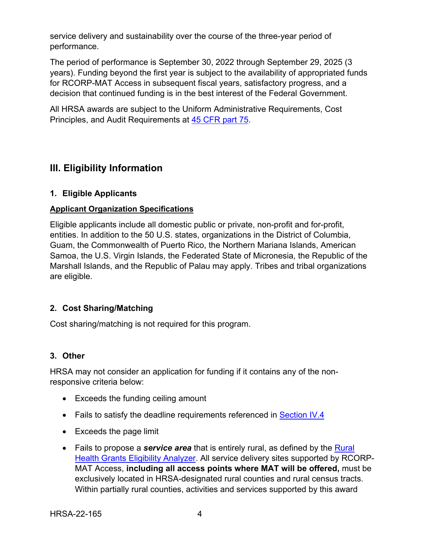service delivery and sustainability over the course of the three-year period of performance.

The period of performance is September 30, 2022 through September 29, 2025 (3 years). Funding beyond the first year is subject to the availability of appropriated funds for RCORP-MAT Access in subsequent fiscal years, satisfactory progress, and a decision that continued funding is in the best interest of the Federal Government.

All HRSA awards are subject to the Uniform Administrative Requirements, Cost Principles, and Audit Requirements at [45 CFR part 75.](http://www.ecfr.gov/cgi-bin/retrieveECFR?gp=1&SID=4d52364ec83fab994c665943dadf9cf7&ty=HTML&h=L&r=PART&n=pt45.1.75)

# <span id="page-7-1"></span>**III. Eligibility Information**

### <span id="page-7-0"></span>**1. Eligible Applicants**

### **Applicant Organization Specifications**

Eligible applicants include all domestic public or private, non-profit and for-profit, entities. In addition to the 50 U.S. states, organizations in the District of Columbia, Guam, the Commonwealth of Puerto Rico, the Northern Mariana Islands, American Samoa, the U.S. Virgin Islands, the Federated State of Micronesia, the Republic of the Marshall Islands, and the Republic of Palau may apply. Tribes and tribal organizations are eligible.

## <span id="page-7-2"></span>**2. Cost Sharing/Matching**

Cost sharing/matching is not required for this program.

### <span id="page-7-3"></span>**3. Other**

HRSA may not consider an application for funding if it contains any of the nonresponsive criteria below:

- Exceeds the funding ceiling amount
- Fails to satisfy the deadline requirements referenced in [Section IV.4](#page-30-0)
- Exceeds the page limit
- Fails to propose a *service area* that is entirely rural, as defined by the [Rural](https://data.hrsa.gov/tools/rural-health)  [Health Grants Eligibility Analyzer.](https://data.hrsa.gov/tools/rural-health) All service delivery sites supported by RCORP-MAT Access, **including all access points where MAT will be offered,** must be exclusively located in HRSA-designated rural counties and rural census tracts. Within partially rural counties, activities and services supported by this award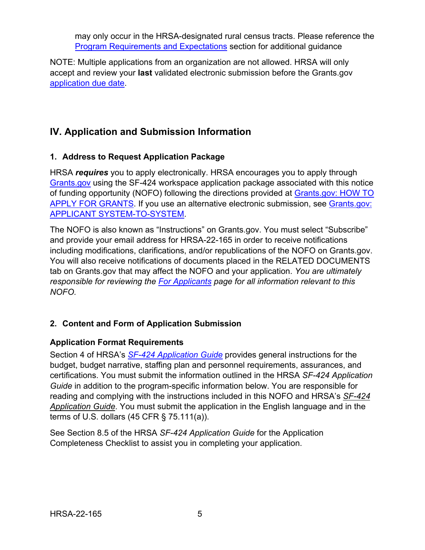may only occur in the HRSA-designated rural census tracts. Please reference the [Program Requirements and Expectations](#page-9-0) section for additional guidance

NOTE: Multiple applications from an organization are not allowed. HRSA will only accept and review your **last** validated electronic submission before the Grants.gov [application due date.](#page-30-1)

# <span id="page-8-0"></span>**IV. Application and Submission Information**

## <span id="page-8-1"></span>**1. Address to Request Application Package**

HRSA *requires* you to apply electronically. HRSA encourages you to apply through [Grants.gov](https://www.grants.gov/) using the SF-424 workspace application package associated with this notice of funding opportunity (NOFO) following the directions provided at [Grants.gov: HOW TO](http://www.grants.gov/applicants/apply-for-grants.html)  [APPLY FOR GRANTS.](http://www.grants.gov/applicants/apply-for-grants.html) If you use an alternative electronic submission, see [Grants.gov:](https://www.grants.gov/web/grants/s2s/applicant-system-to-system.html)  [APPLICANT SYSTEM-TO-SYSTEM.](https://www.grants.gov/web/grants/s2s/applicant-system-to-system.html)

The NOFO is also known as "Instructions" on Grants.gov. You must select "Subscribe" and provide your email address for HRSA-22-165 in order to receive notifications including modifications, clarifications, and/or republications of the NOFO on Grants.gov. You will also receive notifications of documents placed in the RELATED DOCUMENTS tab on Grants.gov that may affect the NOFO and your application. *You are ultimately responsible for reviewing the [For Applicants](https://www.grants.gov/web/grants/applicants.html) page for all information relevant to this NOFO.*

# <span id="page-8-2"></span>**2. Content and Form of Application Submission**

## **Application Format Requirements**

Section 4 of HRSA's *SF-424 [Application Guide](http://www.hrsa.gov/grants/apply/applicationguide/sf424guide.pdf)* provides general instructions for the budget, budget narrative, staffing plan and personnel requirements, assurances, and certifications. You must submit the information outlined in the HRSA *SF-424 Application Guide* in addition to the program-specific information below. You are responsible for reading and complying with the instructions included in this NOFO and HRSA's *[SF-424](http://www.hrsa.gov/grants/apply/applicationguide/sf424guide.pdf) [Application Guide](http://www.hrsa.gov/grants/apply/applicationguide/sf424guide.pdf)*. You must submit the application in the English language and in the terms of U.S. dollars (45 CFR § 75.111(a)).

See Section 8.5 of the HRSA *SF-424 Application Guide* for the Application Completeness Checklist to assist you in completing your application.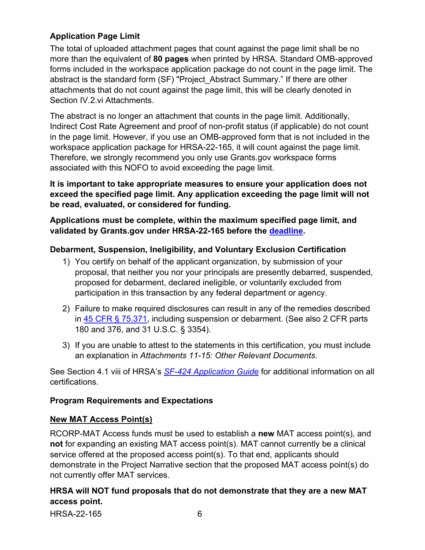## <span id="page-9-1"></span>**Application Page Limit**

The total of uploaded attachment pages that count against the page limit shall be no more than the equivalent of **80 pages** when printed by HRSA. Standard OMB-approved forms included in the workspace application package do not count in the page limit. The abstract is the standard form (SF) "Project\_Abstract Summary." If there are other attachments that do not count against the page limit, this will be clearly denoted in Section IV.2.vi Attachments.

The abstract is no longer an attachment that counts in the page limit. Additionally, Indirect Cost Rate Agreement and proof of non-profit status (if applicable) do not count in the page limit. However, if you use an OMB-approved form that is not included in the workspace application package for HRSA-22-165, it will count against the page limit. Therefore, we strongly recommend you only use Grants.gov workspace forms associated with this NOFO to avoid exceeding the page limit.

**It is important to take appropriate measures to ensure your application does not exceed the specified page limit. Any application exceeding the page limit will not be read, evaluated, or considered for funding.** 

**Applications must be complete, within the maximum specified page limit, and validated by Grants.gov under HRSA-22-165 before the [deadline.](#page-30-1)** 

### **Debarment, Suspension, Ineligibility, and Voluntary Exclusion Certification**

- 1) You certify on behalf of the applicant organization, by submission of your proposal, that neither you nor your principals are presently debarred, suspended, proposed for debarment, declared ineligible, or voluntarily excluded from participation in this transaction by any federal department or agency.
- 2) Failure to make required disclosures can result in any of the remedies described in [45 CFR § 75.371,](https://www.ecfr.gov/cgi-bin/retrieveECFR?gp=1&SID=4d52364ec83fab994c665943dadf9cf7&ty=HTML&h=L&r=PART&n=pt45.1.75#se45.1.75_1371) including suspension or debarment. (See also 2 CFR parts 180 and 376, and 31 U.S.C. § 3354).
- 3) If you are unable to attest to the statements in this certification, you must include an explanation in *Attachments 11-15: Other Relevant Documents*.

See Section 4.1 viii of HRSA's *SF-424 [Application Guide](http://www.hrsa.gov/grants/apply/applicationguide/sf424guide.pdf)* for additional information on all certifications.

### <span id="page-9-0"></span>**Program Requirements and Expectations**

#### **New MAT Access Point(s)**

RCORP-MAT Access funds must be used to establish a **new** MAT access point(s), and **not** for expanding an existing MAT access point(s). MAT cannot currently be a clinical service offered at the proposed access point(s). To that end, applicants should demonstrate in the Project Narrative section that the proposed MAT access point(s) do not currently offer MAT services.

## **HRSA will NOT fund proposals that do not demonstrate that they are a new MAT access point.**

HRSA-22-165 6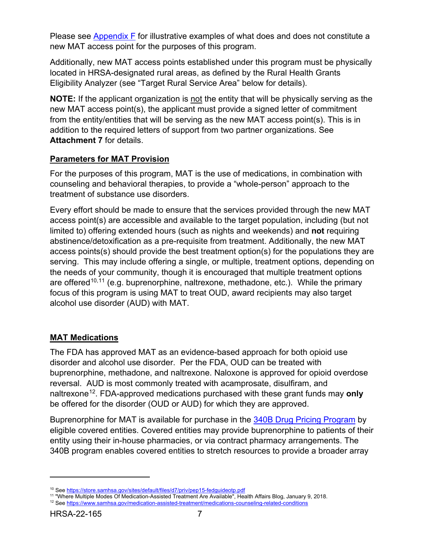Please see [Appendix F](#page-59-0) for illustrative examples of what does and does not constitute a new MAT access point for the purposes of this program.

Additionally, new MAT access points established under this program must be physically located in HRSA-designated rural areas, as defined by the [Rural Health Grants](https://data.hrsa.gov/tools/rural-health)  [Eligibility Analyzer](https://data.hrsa.gov/tools/rural-health) (see "Target Rural Service Area" below for details).

**NOTE:** If the applicant organization is not the entity that will be physically serving as the new MAT access point(s), the applicant must provide a signed letter of commitment from the entity/entities that will be serving as the new MAT access point(s). This is in addition to the required letters of support from two partner organizations. See **Attachment 7** for details.

## **Parameters for MAT Provision**

For the purposes of this program, MAT is the use of medications, in combination with counseling and behavioral therapies, to provide a "whole-person" approach to the treatment of substance use disorders.

Every effort should be made to ensure that the services provided through the new MAT access point(s) are accessible and available to the target population, including (but not limited to) offering extended hours (such as nights and weekends) and **not** requiring abstinence/detoxification as a pre-requisite from treatment. Additionally, the new MAT access points(s) should provide the best treatment option(s) for the populations they are serving. This may include offering a single, or multiple, treatment options, depending on the needs of your community, though it is encouraged that multiple treatment options are offered<sup>[10](#page-10-0),[11](#page-10-1)</sup> (e.g. buprenorphine, naltrexone, methadone, etc.). While the primary focus of this program is using MAT to treat OUD, award recipients may also target alcohol use disorder (AUD) with MAT.

## <span id="page-10-3"></span>**MAT Medications**

The FDA has approved MAT as an evidence-based approach for both opioid use disorder and alcohol use disorder. Per the FDA, OUD can be treated with buprenorphine, methadone, and naltrexone. Naloxone is approved for opioid overdose reversal. AUD is most commonly treated with acamprosate, disulfiram, and naltrexone[12](#page-10-2). FDA-approved medications purchased with these grant funds may **only** be offered for the disorder (OUD or AUD) for which they are approved.

Buprenorphine for MAT is available for purchase in the [340B Drug Pricing Program](https://www.hrsa.gov/opa/index.html#:%7E:text=The%20340B%20Program%20enables%20covered,entities%20at%20significantly%20reduced%20prices.) by eligible covered entities. Covered entities may provide buprenorphine to patients of their entity using their in-house pharmacies, or via contract pharmacy arrangements. The 340B program enables covered entities to stretch resources to provide a broader array

<span id="page-10-0"></span><sup>&</sup>lt;sup>10</sup> See <u>https://store.samhsa.gov/sites/default/files/d7/priv/pep15-fedguideotp.pdf<br><sup>11</sup> "Where Multiple Modes Of Medication-Assisted Treatment Are Available", Health Affairs Blog, January 9, 2018.</u>

<span id="page-10-2"></span><span id="page-10-1"></span><sup>&</sup>lt;sup>12</sup> See<https://www.samhsa.gov/medication-assisted-treatment/medications-counseling-related-conditions>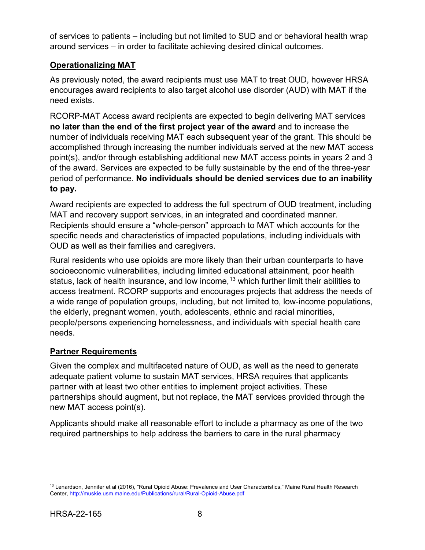of services to patients – including but not limited to SUD and or behavioral health wrap around services – in order to facilitate achieving desired clinical outcomes.

## **Operationalizing MAT**

As previously noted, the award recipients must use MAT to treat OUD, however HRSA encourages award recipients to also target alcohol use disorder (AUD) with MAT if the need exists.

RCORP-MAT Access award recipients are expected to begin delivering MAT services **no later than the end of the first project year of the award** and to increase the number of individuals receiving MAT each subsequent year of the grant. This should be accomplished through increasing the number individuals served at the new MAT access point(s), and/or through establishing additional new MAT access points in years 2 and 3 of the award. Services are expected to be fully sustainable by the end of the three-year period of performance. **No individuals should be denied services due to an inability to pay.**

Award recipients are expected to address the full spectrum of OUD treatment, including MAT and recovery support services, in an integrated and coordinated manner. Recipients should ensure a "whole-person" approach to MAT which accounts for the specific needs and characteristics of impacted populations, including individuals with OUD as well as their families and caregivers.

Rural residents who use opioids are more likely than their urban counterparts to have socioeconomic vulnerabilities, including limited educational attainment, poor health status, lack of health insurance, and low income,  $13$  which further limit their abilities to access treatment. RCORP supports and encourages projects that address the needs of a wide range of population groups, including, but not limited to, low-income populations, the elderly, pregnant women, youth, adolescents, ethnic and racial minorities, people/persons experiencing homelessness, and individuals with special health care needs.

## **Partner Requirements**

Given the complex and multifaceted nature of OUD, as well as the need to generate adequate patient volume to sustain MAT services, HRSA requires that applicants partner with at least two other entities to implement project activities. These partnerships should augment, but not replace, the MAT services provided through the new MAT access point(s).

Applicants should make all reasonable effort to include a pharmacy as one of the two required partnerships to help address the barriers to care in the rural pharmacy

<span id="page-11-0"></span><sup>&</sup>lt;sup>13</sup> Lenardson, Jennifer et al (2016), "Rural Opioid Abuse: Prevalence and User Characteristics," Maine Rural Health Research Center, http://muskie.usm.maine.edu/Publications/rural/Rural-Opioid-Abuse.pdf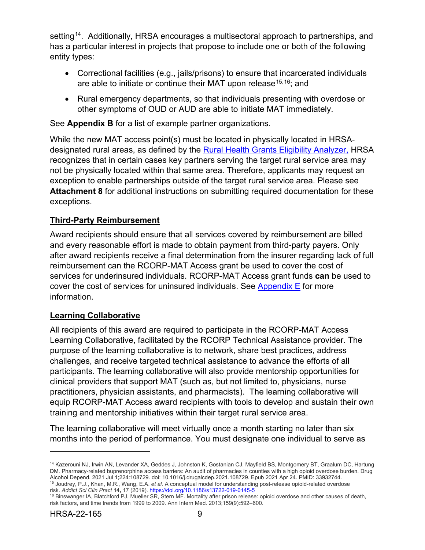setting<sup>14</sup>. Additionally, HRSA encourages a multisectoral approach to partnerships, and has a particular interest in projects that propose to include one or both of the following entity types:

- Correctional facilities (e.g., jails/prisons) to ensure that incarcerated individuals are able to initiate or continue their MAT upon release<sup>[15](#page-12-1),[16](#page-12-2)</sup>; and
- Rural emergency departments, so that individuals presenting with overdose or other symptoms of OUD or AUD are able to initiate MAT immediately.

See **Appendix B** for a list of example partner organizations.

While the new MAT access point(s) must be located in physically located in HRSAdesignated rural areas, as defined by the [Rural Health Grants Eligibility Analyzer,](https://data.hrsa.gov/tools/rural-health) HRSA recognizes that in certain cases key partners serving the target rural service area may not be physically located within that same area. Therefore, applicants may request an exception to enable partnerships outside of the target rural service area. Please see **Attachment 8** for additional instructions on submitting required documentation for these exceptions.

## **Third-Party Reimbursement**

Award recipients should ensure that all services covered by reimbursement are billed and every reasonable effort is made to obtain payment from third-party payers. Only after award recipients receive a final determination from the insurer regarding lack of full reimbursement can the RCORP-MAT Access grant be used to cover the cost of services for underinsured individuals. RCORP-MAT Access grant funds **can** be used to cover the cost of services for uninsured individuals. See [Appendix E](#page-58-0) for more information.

### **Learning Collaborative**

All recipients of this award are required to participate in the RCORP-MAT Access Learning Collaborative, facilitated by the RCORP Technical Assistance provider. The purpose of the learning collaborative is to network, share best practices, address challenges, and receive targeted technical assistance to advance the efforts of all participants. The learning collaborative will also provide mentorship opportunities for clinical providers that support MAT (such as, but not limited to, physicians, nurse practitioners, physician assistants, and pharmacists). The learning collaborative will equip RCORP-MAT Access award recipients with tools to develop and sustain their own training and mentorship initiatives within their target rural service area.

The learning collaborative will meet virtually once a month starting no later than six months into the period of performance. You must designate one individual to serve as

<span id="page-12-0"></span><sup>&</sup>lt;sup>14</sup> Kazerouni NJ, Irwin AN, Levander XA, Geddes J, Johnston K, Gostanian CJ, Mayfield BS, Montgomery BT, Graalum DC, Hartung DM. Pharmacy-related buprenorphine access barriers: An audit of pharmacies in counties with a high opioid overdose burden. Drug Alcohol Depend. 2021 Jul 1;224:108729. doi: 10.1016/j.drugalcdep.2021.108729. Epub 2021 Apr 24. PMID: 33932744. <sup>15</sup> Joudrey, P.J., Khan, M.R., Wang, E.A. *et al.* A conceptual model for understanding post-release opioid-related overdose

<span id="page-12-2"></span><span id="page-12-1"></span>risk. *Addict Sci Clin Pract* **14,** 17 (2019)[. https://doi.org/10.1186/s13722-019-0145-5](https://doi.org/10.1186/s13722-019-0145-5) <sup>16</sup> Binswanger IA, Blatchford PJ, Mueller SR, Stern MF. Mortality after prison release: opioid overdose and other causes of death, risk factors, and time trends from 1999 to 2009. Ann Intern Med. 2013;159(9):592–600.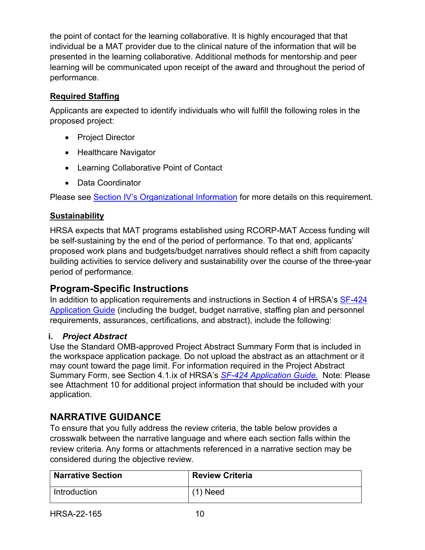the point of contact for the learning collaborative. It is highly encouraged that that individual be a MAT provider due to the clinical nature of the information that will be presented in the learning collaborative. Additional methods for mentorship and peer learning will be communicated upon receipt of the award and throughout the period of performance.

## **Required Staffing**

Applicants are expected to identify individuals who will fulfill the following roles in the proposed project:

- Project Director
- Healthcare Navigator
- Learning Collaborative Point of Contact
- Data Coordinator

Please see [Section IV's Organizational Information](#page-20-0) for more details on this requirement.

# **Sustainability**

HRSA expects that MAT programs established using RCORP-MAT Access funding will be self-sustaining by the end of the period of performance. To that end, applicants' proposed work plans and budgets/budget narratives should reflect a shift from capacity building activities to service delivery and sustainability over the course of the three-year period of performance.

# **Program-Specific Instructions**

In addition to application requirements and instructions in Section 4 of HRSA's SF-424 [Application Guide](https://www.hrsa.gov/sites/default/files/hrsa/grants/apply/applicationguide/sf-424-app-guide.pdf) (including the budget, budget narrative, staffing plan and personnel requirements, assurances, certifications, and abstract), include the following:

## <span id="page-13-0"></span>**i.** *Project Abstract*

Use the Standard OMB-approved Project Abstract Summary Form that is included in the workspace application package. Do not upload the abstract as an attachment or it may count toward the page limit. For information required in the Project Abstract Summary Form, see Section 4.1.ix of HRSA's *SF-424 [Application Guide.](http://www.hrsa.gov/grants/apply/applicationguide/sf424guide.pdf)* Note: Please see Attachment 10 for additional project information that should be included with your application.

# **NARRATIVE GUIDANCE**

To ensure that you fully address the review criteria, the table below provides a crosswalk between the narrative language and where each section falls within the review criteria. Any forms or attachments referenced in a narrative section may be considered during the objective review.

| <b>Narrative Section</b> | <b>Review Criteria</b> |
|--------------------------|------------------------|
| Introduction             | $(1)$ Need             |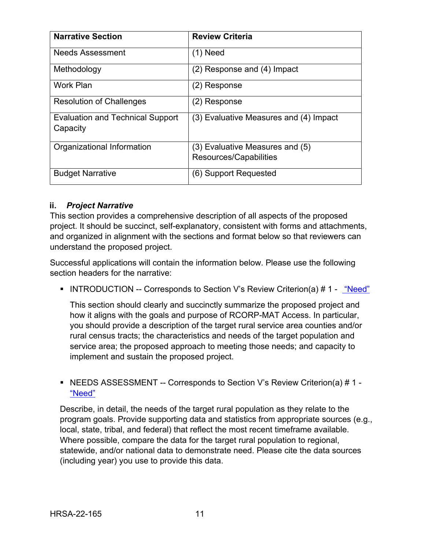| <b>Narrative Section</b>                            | <b>Review Criteria</b>                 |
|-----------------------------------------------------|----------------------------------------|
| <b>Needs Assessment</b>                             | $(1)$ Need                             |
| Methodology                                         | (2) Response and (4) Impact            |
| <b>Work Plan</b>                                    | (2) Response                           |
| <b>Resolution of Challenges</b>                     | (2) Response                           |
| <b>Evaluation and Technical Support</b><br>Capacity | (3) Evaluative Measures and (4) Impact |
| Organizational Information                          | (3) Evaluative Measures and (5)        |
|                                                     | Resources/Capabilities                 |
| <b>Budget Narrative</b>                             | (6) Support Requested                  |

## <span id="page-14-0"></span>**ii.** *Project Narrative*

This section provides a comprehensive description of all aspects of the proposed project. It should be succinct, self-explanatory, consistent with forms and attachments, and organized in alignment with the sections and format below so that reviewers can understand the proposed project.

Successful applications will contain the information below. Please use the following section headers for the narrative:

<span id="page-14-1"></span>• INTRODUCTION -- Corresponds to Section V's Review Criterion(a) # 1 - "Need"

This section should clearly and succinctly summarize the proposed project and how it aligns with the goals and purpose of RCORP-MAT Access. In particular, you should provide a description of the target rural service area counties and/or rural census tracts; the characteristics and needs of the target population and service area; the proposed approach to meeting those needs; and capacity to implement and sustain the proposed project.

### <span id="page-14-2"></span>■NEEDS ASSESSMENT -- Corresponds to Section V's Review Criterion(a) # 1 -["Need"](#page-32-2)

Describe, in detail, the needs of the target rural population as they relate to the program goals. Provide supporting data and statistics from appropriate sources (e.g., local, state, tribal, and federal) that reflect the most recent timeframe available. Where possible, compare the data for the target rural population to regional, statewide, and/or national data to demonstrate need. Please cite the data sources (including year) you use to provide this data.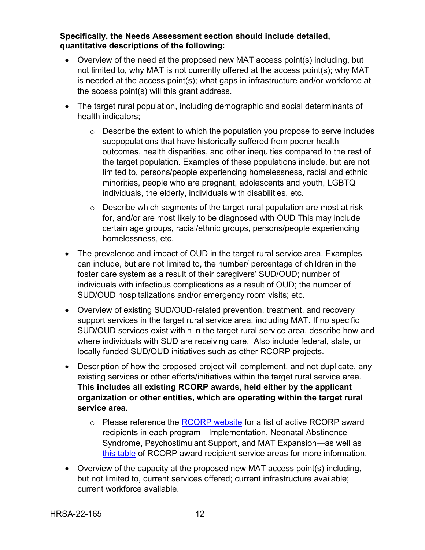#### **Specifically, the Needs Assessment section should include detailed, quantitative descriptions of the following:**

- Overview of the need at the proposed new MAT access point(s) including, but not limited to, why MAT is not currently offered at the access point(s); why MAT is needed at the access point(s); what gaps in infrastructure and/or workforce at the access point(s) will this grant address.
- The target rural population, including demographic and social determinants of health indicators;
	- $\circ$  Describe the extent to which the population you propose to serve includes subpopulations that have historically suffered from poorer health outcomes, health disparities, and other inequities compared to the rest of the target population. Examples of these populations include, but are not limited to, persons/people experiencing homelessness, racial and ethnic minorities, people who are pregnant, adolescents and youth, LGBTQ individuals, the elderly, individuals with disabilities, etc.
	- $\circ$  Describe which segments of the target rural population are most at risk for, and/or are most likely to be diagnosed with OUD This may include certain age groups, racial/ethnic groups, persons/people experiencing homelessness, etc.
- The prevalence and impact of OUD in the target rural service area. Examples can include, but are not limited to, the number/ percentage of children in the foster care system as a result of their caregivers' SUD/OUD; number of individuals with infectious complications as a result of OUD; the number of SUD/OUD hospitalizations and/or emergency room visits; etc.
- Overview of existing SUD/OUD-related prevention, treatment, and recovery support services in the target rural service area, including MAT. If no specific SUD/OUD services exist within in the target rural service area, describe how and where individuals with SUD are receiving care. Also include federal, state, or locally funded SUD/OUD initiatives such as other RCORP projects.
- Description of how the proposed project will complement, and not duplicate, any existing services or other efforts/initiatives within the target rural service area. **This includes all existing RCORP awards, held either by the applicant organization or other entities, which are operating within the target rural service area.** 
	- $\circ$  Please reference the [RCORP website](https://www.hrsa.gov/rural-health/rcorp) for a list of active RCORP award recipients in each program—Implementation, Neonatal Abstinence Syndrome, Psychostimulant Support, and MAT Expansion—as well as [this table](https://www.rcorp-ta.org/sites/default/files/2021-11/Counties%20Served%20All%20Cohorts%2010.28.21%20for%20Portal_0.xlsx) of RCORP award recipient service areas for more information.
- Overview of the capacity at the proposed new MAT access point(s) including, but not limited to, current services offered; current infrastructure available; current workforce available.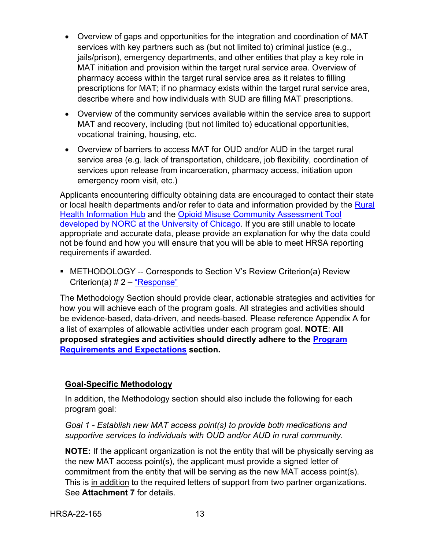- Overview of gaps and opportunities for the integration and coordination of MAT services with key partners such as (but not limited to) criminal justice (e.g., jails/prison), emergency departments, and other entities that play a key role in MAT initiation and provision within the target rural service area. Overview of pharmacy access within the target rural service area as it relates to filling prescriptions for MAT; if no pharmacy exists within the target rural service area, describe where and how individuals with SUD are filling MAT prescriptions.
- Overview of the community services available within the service area to support MAT and recovery, including (but not limited to) educational opportunities, vocational training, housing, etc.
- Overview of barriers to access MAT for OUD and/or AUD in the target rural service area (e.g. lack of transportation, childcare, job flexibility, coordination of services upon release from incarceration, pharmacy access, initiation upon emergency room visit, etc.)

Applicants encountering difficulty obtaining data are encouraged to contact their state or local health departments and/or refer to data and information provided by the Rural [Health Information Hub](https://www.ruralhealthinfo.org/contact) and the [Opioid Misuse Community Assessment Tool](https://opioidmisusetool.norc.org/)  [developed by NORC at the University of Chicago.](https://opioidmisusetool.norc.org/) If you are still unable to locate appropriate and accurate data, please provide an explanation for why the data could not be found and how you will ensure that you will be able to meet HRSA reporting requirements if awarded.

<span id="page-16-0"></span> METHODOLOGY -- Corresponds to Section V's Review Criterion(a) Review Criterion(a) # 2 – ["Response"](#page-33-0)

The Methodology Section should provide clear, actionable strategies and activities for how you will achieve each of the program goals. All strategies and activities should be evidence-based, data-driven, and needs-based. Please reference Appendix A for a list of examples of allowable activities under each program goal. **NOTE**: **All proposed strategies and activities should directly adhere to the [Program](#page-9-0)  [Requirements and Expectations](#page-9-0) section.**

### **Goal-Specific Methodology**

In addition, the Methodology section should also include the following for each program goal:

*Goal 1 - Establish new MAT access point(s) to provide both medications and supportive services to individuals with OUD and/or AUD in rural community.*

**NOTE:** If the applicant organization is not the entity that will be physically serving as the new MAT access point(s), the applicant must provide a signed letter of commitment from the entity that will be serving as the new MAT access point(s). This is in addition to the required letters of support from two partner organizations. See **Attachment 7** for details.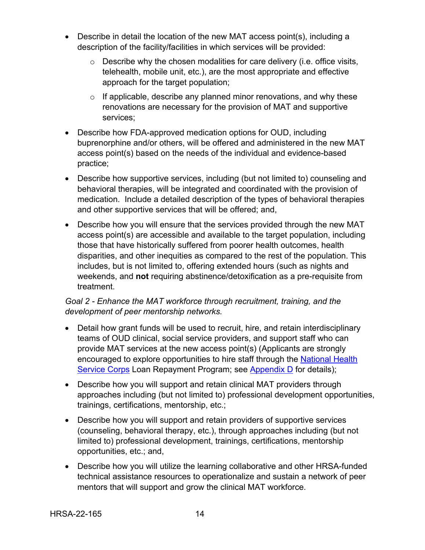- Describe in detail the location of the new MAT access point(s), including a description of the facility/facilities in which services will be provided:
	- $\circ$  Describe why the chosen modalities for care delivery (i.e. office visits, telehealth, mobile unit, etc.), are the most appropriate and effective approach for the target population;
	- $\circ$  If applicable, describe any planned minor renovations, and why these renovations are necessary for the provision of MAT and supportive services;
- Describe how FDA-approved medication options for OUD, including buprenorphine and/or others, will be offered and administered in the new MAT access point(s) based on the needs of the individual and evidence-based practice;
- Describe how supportive services, including (but not limited to) counseling and behavioral therapies, will be integrated and coordinated with the provision of medication. Include a detailed description of the types of behavioral therapies and other supportive services that will be offered; and,
- Describe how you will ensure that the services provided through the new MAT access point(s) are accessible and available to the target population, including those that have historically suffered from poorer health outcomes, health disparities, and other inequities as compared to the rest of the population. This includes, but is not limited to, offering extended hours (such as nights and weekends, and **not** requiring abstinence/detoxification as a pre-requisite from treatment.

## *Goal 2 - Enhance the MAT workforce through recruitment, training, and the development of peer mentorship networks.*

- Detail how grant funds will be used to recruit, hire, and retain interdisciplinary teams of OUD clinical, social service providers, and support staff who can provide MAT services at the new access point(s) (Applicants are strongly encouraged to explore opportunities to hire staff through the National Health [Service Corps](https://nhsc.hrsa.gov/) Loan Repayment Program; see [Appendix D](#page-55-0) for details);
- Describe how you will support and retain clinical MAT providers through approaches including (but not limited to) professional development opportunities, trainings, certifications, mentorship, etc.;
- Describe how you will support and retain providers of supportive services (counseling, behavioral therapy, etc.), through approaches including (but not limited to) professional development, trainings, certifications, mentorship opportunities, etc.; and,
- Describe how you will utilize the learning collaborative and other HRSA-funded technical assistance resources to operationalize and sustain a network of peer mentors that will support and grow the clinical MAT workforce.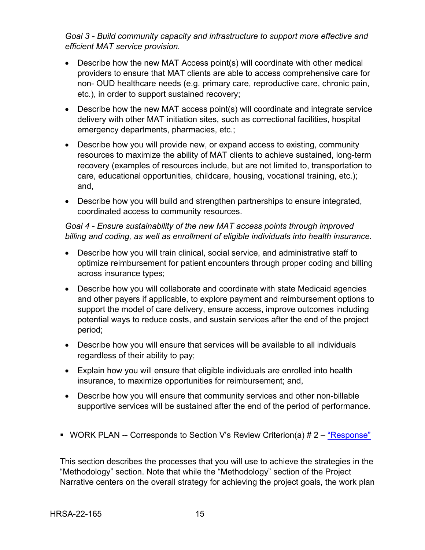## *Goal 3 - Build community capacity and infrastructure to support more effective and efficient MAT service provision.*

- Describe how the new MAT Access point(s) will coordinate with other medical providers to ensure that MAT clients are able to access comprehensive care for non- OUD healthcare needs (e.g. primary care, reproductive care, chronic pain, etc.), in order to support sustained recovery;
- Describe how the new MAT access point(s) will coordinate and integrate service delivery with other MAT initiation sites, such as correctional facilities, hospital emergency departments, pharmacies, etc.;
- Describe how you will provide new, or expand access to existing, community resources to maximize the ability of MAT clients to achieve sustained, long-term recovery (examples of resources include, but are not limited to, transportation to care, educational opportunities, childcare, housing, vocational training, etc.); and,
- Describe how you will build and strengthen partnerships to ensure integrated, coordinated access to community resources.

### *Goal 4 - Ensure sustainability of the new MAT access points through improved billing and coding, as well as enrollment of eligible individuals into health insurance.*

- Describe how you will train clinical, social service, and administrative staff to optimize reimbursement for patient encounters through proper coding and billing across insurance types;
- Describe how you will collaborate and coordinate with state Medicaid agencies and other payers if applicable, to explore payment and reimbursement options to support the model of care delivery, ensure access, improve outcomes including potential ways to reduce costs, and sustain services after the end of the project period;
- Describe how you will ensure that services will be available to all individuals regardless of their ability to pay;
- Explain how you will ensure that eligible individuals are enrolled into health insurance, to maximize opportunities for reimbursement; and,
- Describe how you will ensure that community services and other non-billable supportive services will be sustained after the end of the period of performance.
- <span id="page-18-0"></span>WORK PLAN -- Corresponds to Section V's Review Criterion(a)  $# 2 - \frac{4}{3}$  Response

This section describes the processes that you will use to achieve the strategies in the "Methodology" section. Note that while the "Methodology" section of the Project Narrative centers on the overall strategy for achieving the project goals, the work plan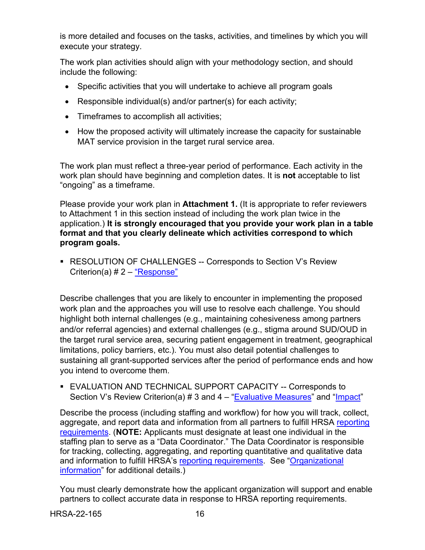is more detailed and focuses on the tasks, activities, and timelines by which you will execute your strategy.

The work plan activities should align with your methodology section, and should include the following:

- Specific activities that you will undertake to achieve all program goals
- Responsible individual(s) and/or partner(s) for each activity;
- Timeframes to accomplish all activities;
- How the proposed activity will ultimately increase the capacity for sustainable MAT service provision in the target rural service area.

The work plan must reflect a three-year period of performance. Each activity in the work plan should have beginning and completion dates. It is **not** acceptable to list "ongoing" as a timeframe.

Please provide your work plan in **Attachment 1.** (It is appropriate to refer reviewers to Attachment 1 in this section instead of including the work plan twice in the application.) **It is strongly encouraged that you provide your work plan in a table format and that you clearly delineate which activities correspond to which program goals.** 

<span id="page-19-0"></span> RESOLUTION OF CHALLENGES -- Corresponds to Section V's Review Criterion(a) # 2 – ["Response"](#page-33-0)

Describe challenges that you are likely to encounter in implementing the proposed work plan and the approaches you will use to resolve each challenge. You should highlight both internal challenges (e.g., maintaining cohesiveness among partners and/or referral agencies) and external challenges (e.g., stigma around SUD/OUD in the target rural service area, securing patient engagement in treatment, geographical limitations, policy barriers, etc.). You must also detail potential challenges to sustaining all grant-supported services after the period of performance ends and how you intend to overcome them.

<span id="page-19-1"></span> EVALUATION AND TECHNICAL SUPPORT CAPACITY -- Corresponds to Section V's Review Criterion(a)  $# 3$  and  $4 - "Evaluate We Maxures"$  and ["Impact"](#page-36-0)

Describe the process (including staffing and workflow) for how you will track, collect, aggregate, and report data and information from all partners to fulfill HRSA [reporting](#page-41-0)  [requirements.](#page-41-0) (**NOTE:** Applicants must designate at least one individual in the staffing plan to serve as a "Data Coordinator." The Data Coordinator is responsible for tracking, collecting, aggregating, and reporting quantitative and qualitative data and information to fulfill HRSA's [reporting requirements.](#page-41-0) See ["Organizational](#page-20-0)  [information"](#page-20-0) for additional details.)

You must clearly demonstrate how the applicant organization will support and enable partners to collect accurate data in response to HRSA reporting requirements.

HRSA-22-165 16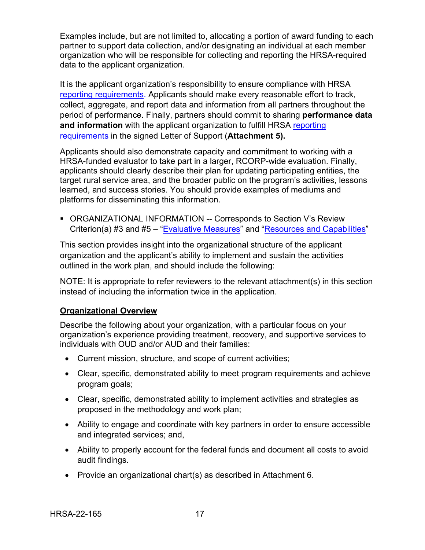Examples include, but are not limited to, allocating a portion of award funding to each partner to support data collection, and/or designating an individual at each member organization who will be responsible for collecting and reporting the HRSA-required data to the applicant organization.

It is the applicant organization's responsibility to ensure compliance with HRSA [reporting requirements.](#page-41-0) Applicants should make every reasonable effort to track, collect, aggregate, and report data and information from all partners throughout the period of performance. Finally, partners should commit to sharing **performance data and information** with the applicant organization to fulfill HRSA [reporting](#page-41-0)  [requirements](#page-41-0) in the signed Letter of Support (**Attachment 5).**

Applicants should also demonstrate capacity and commitment to working with a HRSA-funded evaluator to take part in a larger, RCORP-wide evaluation. Finally, applicants should clearly describe their plan for updating participating entities, the target rural service area, and the broader public on the program's activities, lessons learned, and success stories. You should provide examples of mediums and platforms for disseminating this information.

<span id="page-20-0"></span> ORGANIZATIONAL INFORMATION -- Corresponds to Section V's Review Criterion(a) #3 and #5 – ["Evaluative Measures"](#page-33-1) and ["Resources and Capabilities"](#page-37-0)

This section provides insight into the organizational structure of the applicant organization and the applicant's ability to implement and sustain the activities outlined in the work plan, and should include the following:

NOTE: It is appropriate to refer reviewers to the relevant attachment(s) in this section instead of including the information twice in the application.

### **Organizational Overview**

Describe the following about your organization, with a particular focus on your organization's experience providing treatment, recovery, and supportive services to individuals with OUD and/or AUD and their families:

- Current mission, structure, and scope of current activities;
- Clear, specific, demonstrated ability to meet program requirements and achieve program goals;
- Clear, specific, demonstrated ability to implement activities and strategies as proposed in the methodology and work plan;
- Ability to engage and coordinate with key partners in order to ensure accessible and integrated services; and,
- Ability to properly account for the federal funds and document all costs to avoid audit findings.
- Provide an organizational chart(s) as described in Attachment 6.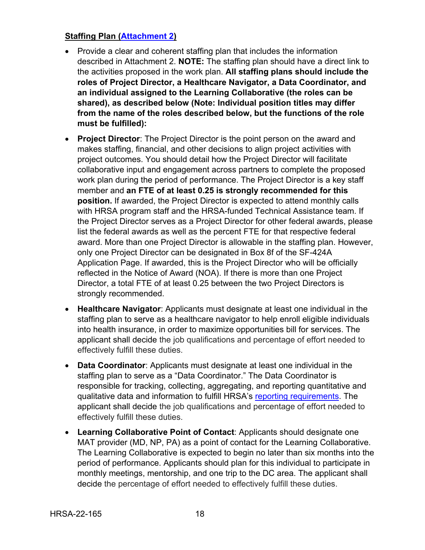## **Staffing Plan [\(Attachment 2\)](#page-25-0)**

- Provide a clear and coherent staffing plan that includes the information described in Attachment 2. **NOTE:** The staffing plan should have a direct link to the activities proposed in the work plan. **All staffing plans should include the roles of Project Director, a Healthcare Navigator, a Data Coordinator, and an individual assigned to the Learning Collaborative (the roles can be shared), as described below (Note: Individual position titles may differ from the name of the roles described below, but the functions of the role must be fulfilled):**
- **Project Director**: The Project Director is the point person on the award and makes staffing, financial, and other decisions to align project activities with project outcomes. You should detail how the Project Director will facilitate collaborative input and engagement across partners to complete the proposed work plan during the period of performance. The Project Director is a key staff member and **an FTE of at least 0.25 is strongly recommended for this position.** If awarded, the Project Director is expected to attend monthly calls with HRSA program staff and the HRSA-funded Technical Assistance team. If the Project Director serves as a Project Director for other federal awards, please list the federal awards as well as the percent FTE for that respective federal award. More than one Project Director is allowable in the staffing plan. However, only one Project Director can be designated in Box 8f of the SF-424A Application Page. If awarded, this is the Project Director who will be officially reflected in the Notice of Award (NOA). If there is more than one Project Director, a total FTE of at least 0.25 between the two Project Directors is strongly recommended.
- **Healthcare Navigator**: Applicants must designate at least one individual in the staffing plan to serve as a healthcare navigator to help enroll eligible individuals into health insurance, in order to maximize opportunities bill for services. The applicant shall decide the job qualifications and percentage of effort needed to effectively fulfill these duties.
- **Data Coordinator**: Applicants must designate at least one individual in the staffing plan to serve as a "Data Coordinator." The Data Coordinator is responsible for tracking, collecting, aggregating, and reporting quantitative and qualitative data and information to fulfill HRSA's [reporting requirements.](#page-41-0) The applicant shall decide the job qualifications and percentage of effort needed to effectively fulfill these duties.
- **Learning Collaborative Point of Contact**: Applicants should designate one MAT provider (MD, NP, PA) as a point of contact for the Learning Collaborative. The Learning Collaborative is expected to begin no later than six months into the period of performance. Applicants should plan for this individual to participate in monthly meetings, mentorship, and one trip to the DC area. The applicant shall decide the percentage of effort needed to effectively fulfill these duties.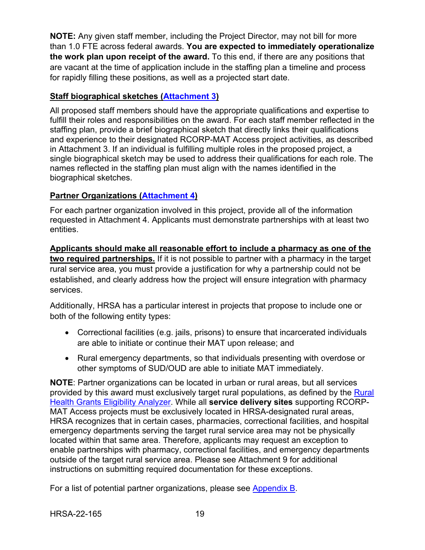**NOTE:** Any given staff member, including the Project Director, may not bill for more than 1.0 FTE across federal awards. **You are expected to immediately operationalize the work plan upon receipt of the award.** To this end, if there are any positions that are vacant at the time of application include in the staffing plan a timeline and process for rapidly filling these positions, as well as a projected start date.

### **Staff biographical sketches [\(Attachment 3\)](#page-25-0)**

All proposed staff members should have the appropriate qualifications and expertise to fulfill their roles and responsibilities on the award. For each staff member reflected in the staffing plan, provide a brief biographical sketch that directly links their qualifications and experience to their designated RCORP-MAT Access project activities, as described in Attachment 3. If an individual is fulfilling multiple roles in the proposed project, a single biographical sketch may be used to address their qualifications for each role. The names reflected in the staffing plan must align with the names identified in the biographical sketches.

### **Partner Organizations [\(Attachment 4\)](#page-25-0)**

For each partner organization involved in this project, provide all of the information requested in Attachment 4. Applicants must demonstrate partnerships with at least two entities.

**Applicants should make all reasonable effort to include a pharmacy as one of the two required partnerships.** If it is not possible to partner with a pharmacy in the target rural service area, you must provide a justification for why a partnership could not be established, and clearly address how the project will ensure integration with pharmacy services.

Additionally, HRSA has a particular interest in projects that propose to include one or both of the following entity types:

- Correctional facilities (e.g. jails, prisons) to ensure that incarcerated individuals are able to initiate or continue their MAT upon release; and
- Rural emergency departments, so that individuals presenting with overdose or other symptoms of SUD/OUD are able to initiate MAT immediately.

**NOTE**: Partner organizations can be located in urban or rural areas, but all services provided by this award must exclusively target rural populations, as defined by the **Rural** [Health Grants Eligibility Analyzer.](https://data.hrsa.gov/tools/rural-health) While all **service delivery sites** supporting RCORP-MAT Access projects must be exclusively located in HRSA-designated rural areas, HRSA recognizes that in certain cases, pharmacies, correctional facilities, and hospital emergency departments serving the target rural service area may not be physically located within that same area. Therefore, applicants may request an exception to enable partnerships with pharmacy, correctional facilities, and emergency departments outside of the target rural service area. Please see Attachment 9 for additional instructions on submitting required documentation for these exceptions.

For a list of potential partner organizations, please see [Appendix B.](#page-48-0)

HRSA-22-165 19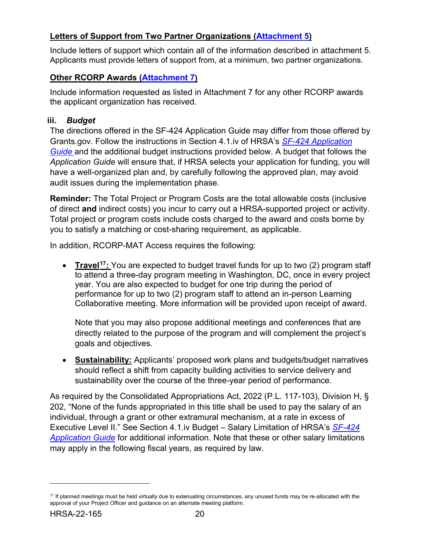## **Letters of Support from Two Partner Organizations [\(Attachment 5\)](#page-25-0)**

Include letters of support which contain all of the information described in attachment 5. Applicants must provide letters of support from, at a minimum, two partner organizations.

## **Other RCORP Awards [\(Attachment 7\)](#page-25-0)**

Include information requested as listed in Attachment 7 for any other RCORP awards the applicant organization has received.

## <span id="page-23-0"></span>**iii.** *Budget*

The directions offered in the SF-424 Application Guide may differ from those offered by Grants.gov. Follow the instructions in Section 4.1.iv of HRSA's *SF-424 [Application](http://www.hrsa.gov/grants/apply/applicationguide/sf424guide.pdf)  [Guide](http://www.hrsa.gov/grants/apply/applicationguide/sf424guide.pdf)* and the additional budget instructions provided below. A budget that follows the *Application Guide* will ensure that, if HRSA selects your application for funding, you will have a well-organized plan and, by carefully following the approved plan, may avoid audit issues during the implementation phase.

**Reminder:** The Total Project or Program Costs are the total allowable costs (inclusive of direct **and** indirect costs) you incur to carry out a HRSA-supported project or activity. Total project or program costs include costs charged to the award and costs borne by you to satisfy a matching or cost-sharing requirement, as applicable.

In addition, RCORP-MAT Access requires the following:

• **Travel[17:](#page-23-1)** You are expected to budget travel funds for up to two (2) program staff to attend a three-day program meeting in Washington, DC, once in every project year. You are also expected to budget for one trip during the period of performance for up to two (2) program staff to attend an in-person Learning Collaborative meeting. More information will be provided upon receipt of award.

Note that you may also propose additional meetings and conferences that are directly related to the purpose of the program and will complement the project's goals and objectives.

• **Sustainability:** Applicants' proposed work plans and budgets/budget narratives should reflect a shift from capacity building activities to service delivery and sustainability over the course of the three-year period of performance.

As required by the Consolidated Appropriations Act, 2022 (P.L. 117-103), Division H, § 202, "None of the funds appropriated in this title shall be used to pay the salary of an individual, through a grant or other extramural mechanism, at a rate in excess of Executive Level II." See Section 4.1.iv Budget – Salary Limitation of HRSA's *[SF-424](http://www.hrsa.gov/grants/apply/applicationguide/sf424guide.pdf)  [Application Guide](http://www.hrsa.gov/grants/apply/applicationguide/sf424guide.pdf)* for additional information. Note that these or other salary limitations may apply in the following fiscal years, as required by law.

<span id="page-23-1"></span> $17$  If planned meetings must be held virtually due to extenuating circumstances, any unused funds may be re-allocated with the approval of your Project Officer and guidance on an alternate meeting platform.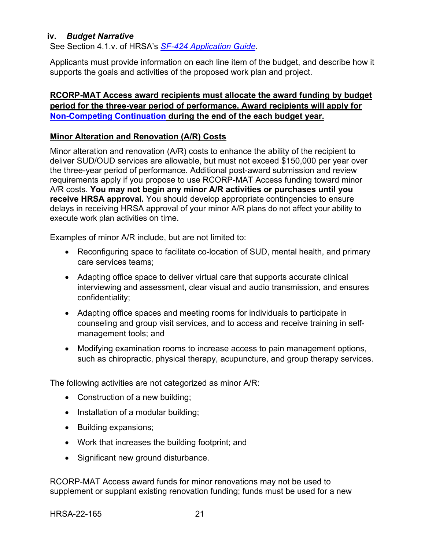#### <span id="page-24-0"></span>**iv.** *Budget Narrative*

See Section 4.1.v. of HRSA's *SF-424 [Application Guide.](http://www.hrsa.gov/grants/apply/applicationguide/sf424guide.pdf)* 

Applicants must provide information on each line item of the budget, and describe how it supports the goals and activities of the proposed work plan and project.

### **RCORP-MAT Access award recipients must allocate the award funding by budget period for the three-year period of performance. Award recipients will apply for [Non-Competing Continuation](https://www.hrsa.gov/grants/manage-your-grant/reporting-requirements) during the end of the each budget year.**

### **Minor Alteration and Renovation (A/R) Costs**

Minor alteration and renovation (A/R) costs to enhance the ability of the recipient to deliver SUD/OUD services are allowable, but must not exceed \$150,000 per year over the three-year period of performance. Additional post-award submission and review requirements apply if you propose to use RCORP-MAT Access funding toward minor A/R costs. **You may not begin any minor A/R activities or purchases until you receive HRSA approval.** You should develop appropriate contingencies to ensure delays in receiving HRSA approval of your minor A/R plans do not affect your ability to execute work plan activities on time.

Examples of minor A/R include, but are not limited to:

- Reconfiguring space to facilitate co-location of SUD, mental health, and primary care services teams;
- Adapting office space to deliver virtual care that supports accurate clinical interviewing and assessment, clear visual and audio transmission, and ensures confidentiality;
- Adapting office spaces and meeting rooms for individuals to participate in counseling and group visit services, and to access and receive training in selfmanagement tools; and
- Modifying examination rooms to increase access to pain management options, such as chiropractic, physical therapy, acupuncture, and group therapy services.

The following activities are not categorized as minor A/R:

- Construction of a new building;
- Installation of a modular building;
- Building expansions;
- Work that increases the building footprint; and
- Significant new ground disturbance.

RCORP-MAT Access award funds for minor renovations may not be used to supplement or supplant existing renovation funding; funds must be used for a new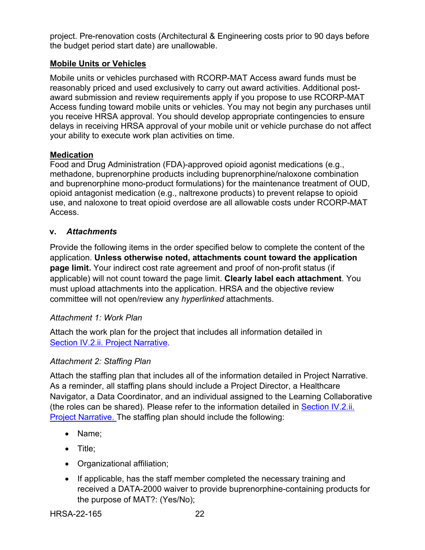project. Pre-renovation costs (Architectural & Engineering costs prior to 90 days before the budget period start date) are unallowable.

## **Mobile Units or Vehicles**

Mobile units or vehicles purchased with RCORP-MAT Access award funds must be reasonably priced and used exclusively to carry out award activities. Additional postaward submission and review requirements apply if you propose to use RCORP-MAT Access funding toward mobile units or vehicles. You may not begin any purchases until you receive HRSA approval. You should develop appropriate contingencies to ensure delays in receiving HRSA approval of your mobile unit or vehicle purchase do not affect your ability to execute work plan activities on time.

### **Medication**

Food and Drug Administration (FDA)-approved opioid agonist medications (e.g., methadone, buprenorphine products including buprenorphine/naloxone combination and buprenorphine mono-product formulations) for the maintenance treatment of OUD, opioid antagonist medication (e.g., naltrexone products) to prevent relapse to opioid use, and naloxone to treat opioid overdose are all allowable costs under RCORP-MAT Access.

## <span id="page-25-0"></span>**v.** *Attachments*

Provide the following items in the order specified below to complete the content of the application. **Unless otherwise noted, attachments count toward the application page limit.** Your indirect cost rate agreement and proof of non-profit status (if applicable) will not count toward the page limit. **Clearly label each attachment**. You must upload attachments into the application. HRSA and the objective review committee will not open/review any *hyperlinked* attachments.

### *Attachment 1: Work Plan*

Attach the work plan for the project that includes all information detailed in [Section IV.2.ii. Project Narrative.](#page-14-0)

## *Attachment 2: Staffing Plan*

Attach the staffing plan that includes all of the information detailed in Project Narrative. As a reminder, all staffing plans should include a Project Director, a Healthcare Navigator, a Data Coordinator, and an individual assigned to the Learning Collaborative (the roles can be shared). Please refer to the information detailed in [Section IV.2.ii.](#page-14-0)  [Project Narrative.](#page-14-0) The staffing plan should include the following:

- Name;
- Title;
- Organizational affiliation;
- If applicable, has the staff member completed the necessary training and received a DATA-2000 waiver to provide buprenorphine-containing products for the purpose of MAT?: (Yes/No);

HRSA-22-165 22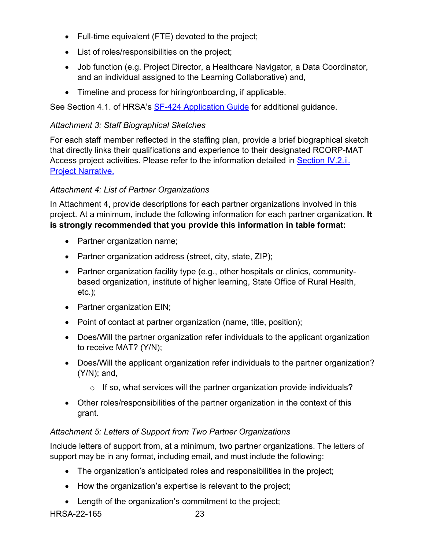- Full-time equivalent (FTE) devoted to the project;
- List of roles/responsibilities on the project;
- Job function (e.g. Project Director, a Healthcare Navigator, a Data Coordinator, and an individual assigned to the Learning Collaborative) and,
- Timeline and process for hiring/onboarding, if applicable.

See Section 4.1. of HRSA's [SF-424 Application Guide](http://www.hrsa.gov/grants/apply/applicationguide/sf424guide.pdf) for additional guidance.

## *Attachment 3: Staff Biographical Sketches*

For each staff member reflected in the staffing plan, provide a brief biographical sketch that directly links their qualifications and experience to their designated RCORP-MAT Access project activities. Please refer to the information detailed in [Section IV.2.ii.](#page-14-0)  [Project Narrative.](#page-14-0)

## *Attachment 4: List of Partner Organizations*

In Attachment 4, provide descriptions for each partner organizations involved in this project. At a minimum, include the following information for each partner organization. **It is strongly recommended that you provide this information in table format:**

- Partner organization name;
- Partner organization address (street, city, state, ZIP);
- Partner organization facility type (e.g., other hospitals or clinics, communitybased organization, institute of higher learning, State Office of Rural Health, etc.);
- Partner organization EIN;
- Point of contact at partner organization (name, title, position);
- Does/Will the partner organization refer individuals to the applicant organization to receive MAT? (Y/N);
- Does/Will the applicant organization refer individuals to the partner organization? (Y/N); and,
	- $\circ$  If so, what services will the partner organization provide individuals?
- Other roles/responsibilities of the partner organization in the context of this grant.

# *Attachment 5: Letters of Support from Two Partner Organizations*

Include letters of support from, at a minimum, two partner organizations. The letters of support may be in any format, including email, and must include the following:

- The organization's anticipated roles and responsibilities in the project;
- How the organization's expertise is relevant to the project;
- Length of the organization's commitment to the project;

HRSA-22-165 23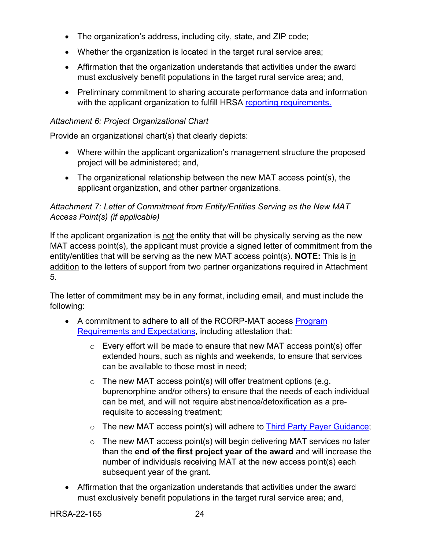- The organization's address, including city, state, and ZIP code;
- Whether the organization is located in the target rural service area;
- Affirmation that the organization understands that activities under the award must exclusively benefit populations in the target rural service area; and,
- Preliminary commitment to sharing accurate performance data and information with the applicant organization to fulfill HRSA [reporting requirements.](#page-41-0)

## *Attachment 6: Project Organizational Chart*

Provide an organizational chart(s) that clearly depicts:

- Where within the applicant organization's management structure the proposed project will be administered; and,
- The organizational relationship between the new MAT access point(s), the applicant organization, and other partner organizations.

## *Attachment 7: Letter of Commitment from Entity/Entities Serving as the New MAT Access Point(s) (if applicable)*

If the applicant organization is not the entity that will be physically serving as the new MAT access point(s), the applicant must provide a signed letter of commitment from the entity/entities that will be serving as the new MAT access point(s). **NOTE:** This is in addition to the letters of support from two partner organizations required in Attachment 5.

The letter of commitment may be in any format, including email, and must include the following:

- A commitment to adhere to **all** of the RCORP-MAT access [Program](#page-9-0)  [Requirements and Expectations,](#page-9-0) including attestation that:
	- $\circ$  Every effort will be made to ensure that new MAT access point(s) offer extended hours, such as nights and weekends, to ensure that services can be available to those most in need;
	- $\circ$  The new MAT access point(s) will offer treatment options (e.g. buprenorphine and/or others) to ensure that the needs of each individual can be met, and will not require abstinence/detoxification as a prerequisite to accessing treatment;
	- $\circ$  The new MAT access point(s) will adhere to [Third Party Payer Guidance;](#page-58-0)
	- $\circ$  The new MAT access point(s) will begin delivering MAT services no later than the **end of the first project year of the award** and will increase the number of individuals receiving MAT at the new access point(s) each subsequent year of the grant.
- Affirmation that the organization understands that activities under the award must exclusively benefit populations in the target rural service area; and,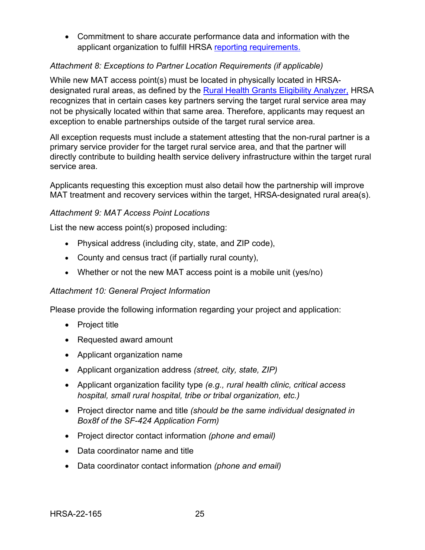• Commitment to share accurate performance data and information with the applicant organization to fulfill HRSA [reporting requirements.](#page-41-0)

## *Attachment 8: Exceptions to Partner Location Requirements (if applicable)*

While new MAT access point(s) must be located in physically located in HRSAdesignated rural areas, as defined by the [Rural Health Grants Eligibility Analyzer,](https://data.hrsa.gov/tools/rural-health) HRSA recognizes that in certain cases key partners serving the target rural service area may not be physically located within that same area. Therefore, applicants may request an exception to enable partnerships outside of the target rural service area.

All exception requests must include a statement attesting that the non-rural partner is a primary service provider for the target rural service area, and that the partner will directly contribute to building health service delivery infrastructure within the target rural service area.

Applicants requesting this exception must also detail how the partnership will improve MAT treatment and recovery services within the target, HRSA-designated rural area(s).

### *Attachment 9: MAT Access Point Locations*

List the new access point(s) proposed including:

- Physical address (including city, state, and ZIP code),
- County and census tract (if partially rural county),
- Whether or not the new MAT access point is a mobile unit (yes/no)

### *Attachment 10: General Project Information*

Please provide the following information regarding your project and application:

- Project title
- Requested award amount
- Applicant organization name
- Applicant organization address *(street, city, state, ZIP)*
- Applicant organization facility type *(e.g., rural health clinic, critical access hospital, small rural hospital, tribe or tribal organization, etc.)*
- Project director name and title *(should be the same individual designated in Box8f of the SF-424 Application Form)*
- Project director contact information *(phone and email)*
- Data coordinator name and title
- Data coordinator contact information *(phone and email)*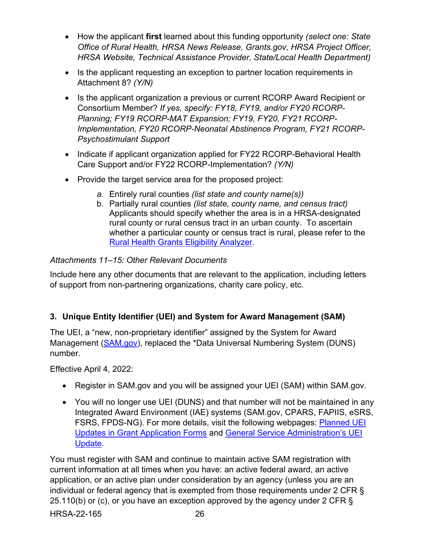- How the applicant **first** learned about this funding opportunity *(select one: State Office of Rural Health, HRSA News Release, Grants.gov, HRSA Project Officer, HRSA Website, Technical Assistance Provider, State/Local Health Department)*
- Is the applicant requesting an exception to partner location requirements in Attachment 8? *(Y/N)*
- Is the applicant organization a previous or current RCORP Award Recipient or Consortium Member? *If yes, specify: FY18, FY19, and/or FY20 RCORP-Planning; FY19 RCORP-MAT Expansion; FY19, FY20, FY21 RCORP-Implementation, FY20 RCORP-Neonatal Abstinence Program, FY21 RCORP-Psychostimulant Support*
- Indicate if applicant organization applied for FY22 RCORP-Behavioral Health Care Support and/or FY22 RCORP-Implementation? *(Y/N)*
- Provide the target service area for the proposed project:
	- *a.* Entirely rural counties *(list state and county name(s))*
	- b. Partially rural counties *(list state, county name, and census tract)*  Applicants should specify whether the area is in a HRSA-designated rural county or rural census tract in an urban county. To ascertain whether a particular county or census tract is rural, please refer to the [Rural Health Grants Eligibility Analyzer.](https://data.hrsa.gov/tools/rural-health)

## *Attachments 11–15: Other Relevant Documents*

Include here any other documents that are relevant to the application, including letters of support from non-partnering organizations, charity care policy, etc.

## <span id="page-29-0"></span>**3. Unique Entity Identifier (UEI) and System for Award Management (SAM)**

The UEI, a "new, non-proprietary identifier" assigned by the System for Award Management [\(SAM.gov\)](https://sam.gov/content/home), replaced the \*Data Universal Numbering System (DUNS) number.

Effective April 4, 2022:

- Register in SAM.gov and you will be assigned your UEI (SAM) within SAM.gov.
- You will no longer use UEI (DUNS) and that number will not be maintained in any Integrated Award Environment (IAE) systems (SAM.gov, CPARS, FAPIIS, eSRS, FSRS, FPDS-NG). For more details, visit the following webpages: [Planned UEI](https://www.grants.gov/web/grants/forms/planned-uei-updates.html)  [Updates in Grant Application Forms](https://www.grants.gov/web/grants/forms/planned-uei-updates.html) and [General Service Administration's UEI](https://www.gsa.gov/entityid)  **Update**

HRSA-22-165 26 You must register with SAM and continue to maintain active SAM registration with current information at all times when you have: an active federal award, an active application, or an active plan under consideration by an agency (unless you are an individual or federal agency that is exempted from those requirements under 2 CFR § 25.110(b) or (c), or you have an exception approved by the agency under 2 CFR  $\S$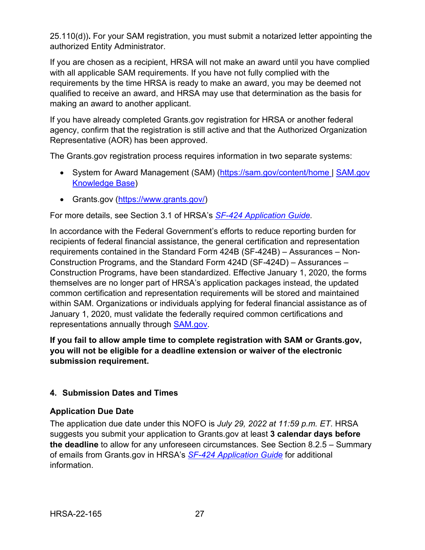25.110(d))**.** For your SAM registration, you must submit a notarized letter appointing the authorized Entity Administrator.

If you are chosen as a recipient, HRSA will not make an award until you have complied with all applicable SAM requirements. If you have not fully complied with the requirements by the time HRSA is ready to make an award, you may be deemed not qualified to receive an award, and HRSA may use that determination as the basis for making an award to another applicant.

If you have already completed Grants.gov registration for HRSA or another federal agency, confirm that the registration is still active and that the Authorized Organization Representative (AOR) has been approved.

The Grants.gov registration process requires information in two separate systems:

- System for Award Management (SAM) [\(https://sam.gov/content/home](https://sam.gov/content/home) | SAM.gov [Knowledge Base\)](https://www.fsd.gov/gsafsd_sp?id=gsa_kb_view2&kb_id=f66d8e6cdb76d4100d73f81d0f9619c6)
- Grants.gov [\(https://www.grants.gov/\)](https://www.grants.gov/)

For more details, see Section 3.1 of HRSA's *SF-424 [Application Guide.](http://www.hrsa.gov/grants/apply/applicationguide/sf424guide.pdf)*

In accordance with the Federal Government's efforts to reduce reporting burden for recipients of federal financial assistance, the general certification and representation requirements contained in the Standard Form 424B (SF-424B) – Assurances – Non-Construction Programs, and the Standard Form 424D (SF-424D) – Assurances – Construction Programs, have been standardized. Effective January 1, 2020, the forms themselves are no longer part of HRSA's application packages instead, the updated common certification and representation requirements will be stored and maintained within SAM. Organizations or individuals applying for federal financial assistance as of January 1, 2020, must validate the federally required common certifications and representations annually through [SAM.gov.](https://sam.gov/content/home)

**If you fail to allow ample time to complete registration with SAM or Grants.gov, you will not be eligible for a deadline extension or waiver of the electronic submission requirement.**

## <span id="page-30-1"></span><span id="page-30-0"></span>**4. Submission Dates and Times**

### **Application Due Date**

The application due date under this NOFO is *July 29, 2022 at 11:59 p.m. ET*. HRSA suggests you submit your application to Grants.gov at least **3 calendar days before the deadline** to allow for any unforeseen circumstances. See Section 8.2.5 – Summary of emails from Grants.gov in HRSA's *[SF-424 Application Guide](http://www.hrsa.gov/grants/apply/applicationguide/sf424guide.pdf)* for additional information.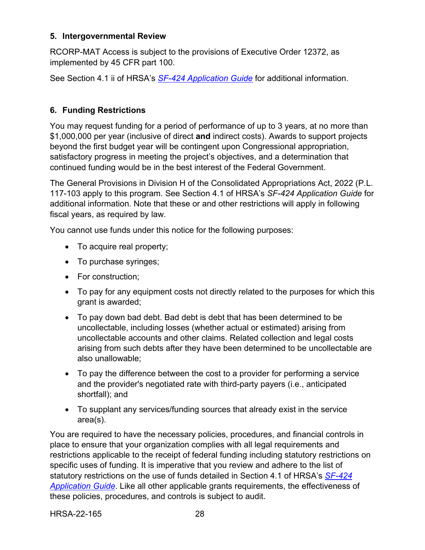### <span id="page-31-0"></span>**5. Intergovernmental Review**

RCORP-MAT Access is subject to the provisions of Executive Order 12372, as implemented by 45 CFR part 100.

See Section 4.1 ii of HRSA's *SF-424 [Application Guide](http://www.hrsa.gov/grants/apply/applicationguide/sf424guide.pdf)* for additional information.

## <span id="page-31-1"></span>**6. Funding Restrictions**

You may request funding for a period of performance of up to 3 years, at no more than \$1,000,000 per year (inclusive of direct **and** indirect costs). Awards to support projects beyond the first budget year will be contingent upon Congressional appropriation, satisfactory progress in meeting the project's objectives, and a determination that continued funding would be in the best interest of the Federal Government.

The General Provisions in Division H of the Consolidated Appropriations Act, 2022 (P.L. 117-103 apply to this program. See Section 4.1 of HRSA's *SF-424 Application Guide* for additional information. Note that these or and other restrictions will apply in following fiscal years, as required by law.

You cannot use funds under this notice for the following purposes:

- To acquire real property;
- To purchase syringes;
- For construction:
- To pay for any equipment costs not directly related to the purposes for which this grant is awarded;
- To pay down bad debt. Bad debt is debt that has been determined to be uncollectable, including losses (whether actual or estimated) arising from uncollectable accounts and other claims. Related collection and legal costs arising from such debts after they have been determined to be uncollectable are also unallowable;
- To pay the difference between the cost to a provider for performing a service and the provider's negotiated rate with third-party payers (i.e., anticipated shortfall); and
- To supplant any services/funding sources that already exist in the service area(s).

You are required to have the necessary policies, procedures, and financial controls in place to ensure that your organization complies with all legal requirements and restrictions applicable to the receipt of federal funding including statutory restrictions on specific uses of funding. It is imperative that you review and adhere to the list of statutory restrictions on the use of funds detailed in Section 4.1 of HRSA's *[SF-424](http://www.hrsa.gov/grants/apply/applicationguide/sf424guide.pdf) [Application Guide](http://www.hrsa.gov/grants/apply/applicationguide/sf424guide.pdf)*. Like all other applicable grants requirements, the effectiveness of these policies, procedures, and controls is subject to audit.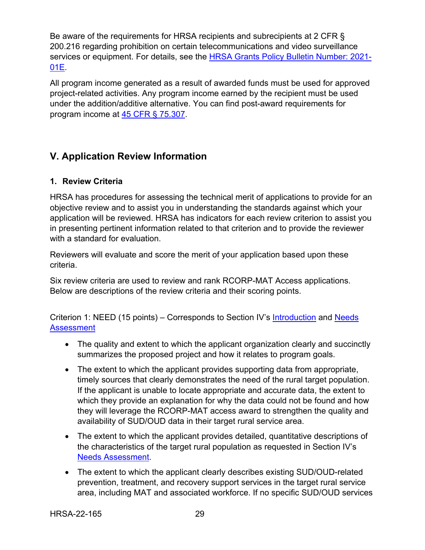Be aware of the requirements for HRSA recipients and subrecipients at 2 CFR § 200.216 regarding prohibition on certain telecommunications and video surveillance services or equipment. For details, see the **HRSA Grants Policy [Bulletin Number: 2021-](https://www.hrsa.gov/sites/default/files/hrsa/grants/manage/grants-policy-bulletin-2021.pdf)** [01E.](https://www.hrsa.gov/sites/default/files/hrsa/grants/manage/grants-policy-bulletin-2021.pdf)

All program income generated as a result of awarded funds must be used for approved project-related activities. Any program income earned by the recipient must be used under the addition/additive alternative. You can find post-award requirements for program income at [45 CFR § 75.307.](https://www.ecfr.gov/cgi-bin/retrieveECFR?gp=1&SID=4d52364ec83fab994c665943dadf9cf7&ty=HTML&h=L&r=PART&n=pt45.1.75)

# <span id="page-32-0"></span>**V. Application Review Information**

### <span id="page-32-1"></span>**1. Review Criteria**

HRSA has procedures for assessing the technical merit of applications to provide for an objective review and to assist you in understanding the standards against which your application will be reviewed. HRSA has indicators for each review criterion to assist you in presenting pertinent information related to that criterion and to provide the reviewer with a standard for evaluation.

Reviewers will evaluate and score the merit of your application based upon these criteria.

Six review criteria are used to review and rank RCORP-MAT Access applications. Below are descriptions of the review criteria and their scoring points.

Criterion 1: NEED (15 points) – Corresponds to Section IV's [Introduction](#page-14-1) and [Needs](#page-14-2)  **[Assessment](#page-14-2)** 

- <span id="page-32-2"></span>• The quality and extent to which the applicant organization clearly and succinctly summarizes the proposed project and how it relates to program goals.
- The extent to which the applicant provides supporting data from appropriate, timely sources that clearly demonstrates the need of the rural target population. If the applicant is unable to locate appropriate and accurate data, the extent to which they provide an explanation for why the data could not be found and how they will leverage the RCORP-MAT access award to strengthen the quality and availability of SUD/OUD data in their target rural service area.
- The extent to which the applicant provides detailed, quantitative descriptions of the characteristics of the target rural population as requested in Section IV's [Needs Assessment.](#page-14-2)
- The extent to which the applicant clearly describes existing SUD/OUD-related prevention, treatment, and recovery support services in the target rural service area, including MAT and associated workforce. If no specific SUD/OUD services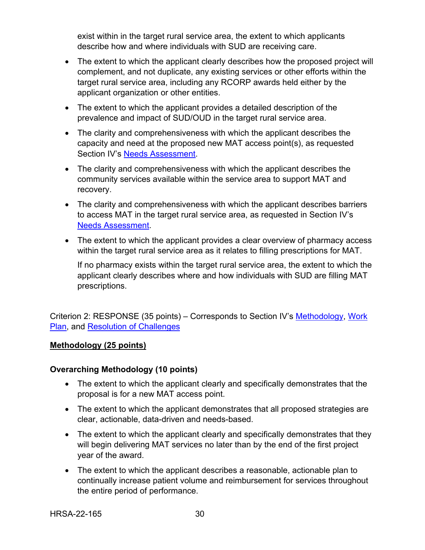exist within in the target rural service area, the extent to which applicants describe how and where individuals with SUD are receiving care.

- The extent to which the applicant clearly describes how the proposed project will complement, and not duplicate, any existing services or other efforts within the target rural service area, including any RCORP awards held either by the applicant organization or other entities.
- The extent to which the applicant provides a detailed description of the prevalence and impact of SUD/OUD in the target rural service area.
- The clarity and comprehensiveness with which the applicant describes the capacity and need at the proposed new MAT access point(s), as requested Section IV's [Needs Assessment.](#page-14-2)
- The clarity and comprehensiveness with which the applicant describes the community services available within the service area to support MAT and recovery.
- The clarity and comprehensiveness with which the applicant describes barriers to access MAT in the target rural service area, as requested in Section IV's [Needs Assessment.](#page-14-2)
- The extent to which the applicant provides a clear overview of pharmacy access within the target rural service area as it relates to filling prescriptions for MAT.

<span id="page-33-1"></span>If no pharmacy exists within the target rural service area, the extent to which the applicant clearly describes where and how individuals with SUD are filling MAT prescriptions.

<span id="page-33-0"></span>Criterion 2: RESPONSE (35 points) – Corresponds to Section IV's [Methodology,](#page-16-0) Work [Plan,](#page-18-0) and [Resolution of Challenges](#page-19-0)

### **Methodology (25 points)**

### **Overarching Methodology (10 points)**

- The extent to which the applicant clearly and specifically demonstrates that the proposal is for a new MAT access point.
- The extent to which the applicant demonstrates that all proposed strategies are clear, actionable, data-driven and needs-based.
- The extent to which the applicant clearly and specifically demonstrates that they will begin delivering MAT services no later than by the end of the first project year of the award.
- The extent to which the applicant describes a reasonable, actionable plan to continually increase patient volume and reimbursement for services throughout the entire period of performance.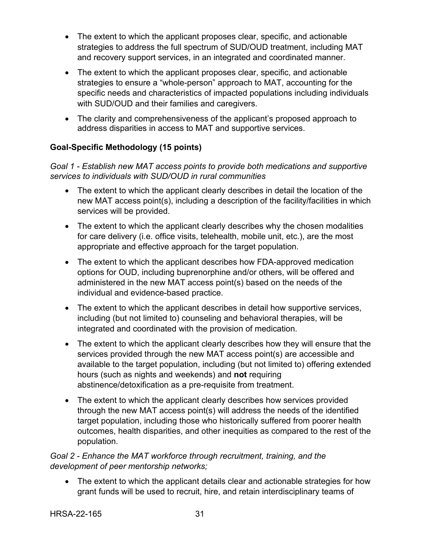- The extent to which the applicant proposes clear, specific, and actionable strategies to address the full spectrum of SUD/OUD treatment, including MAT and recovery support services, in an integrated and coordinated manner.
- The extent to which the applicant proposes clear, specific, and actionable strategies to ensure a "whole-person" approach to MAT, accounting for the specific needs and characteristics of impacted populations including individuals with SUD/OUD and their families and caregivers.
- The clarity and comprehensiveness of the applicant's proposed approach to address disparities in access to MAT and supportive services.

## **Goal-Specific Methodology (15 points)**

*Goal 1 - Establish new MAT access points to provide both medications and supportive services to individuals with SUD/OUD in rural communities*

- The extent to which the applicant clearly describes in detail the location of the new MAT access point(s), including a description of the facility/facilities in which services will be provided.
- The extent to which the applicant clearly describes why the chosen modalities for care delivery (i.e. office visits, telehealth, mobile unit, etc.), are the most appropriate and effective approach for the target population.
- The extent to which the applicant describes how FDA-approved medication options for OUD, including buprenorphine and/or others, will be offered and administered in the new MAT access point(s) based on the needs of the individual and evidence-based practice.
- The extent to which the applicant describes in detail how supportive services, including (but not limited to) counseling and behavioral therapies, will be integrated and coordinated with the provision of medication.
- The extent to which the applicant clearly describes how they will ensure that the services provided through the new MAT access point(s) are accessible and available to the target population, including (but not limited to) offering extended hours (such as nights and weekends) and **not** requiring abstinence/detoxification as a pre-requisite from treatment.
- The extent to which the applicant clearly describes how services provided through the new MAT access point(s) will address the needs of the identified target population, including those who historically suffered from poorer health outcomes, health disparities, and other inequities as compared to the rest of the population.

## *Goal 2 - Enhance the MAT workforce through recruitment, training, and the development of peer mentorship networks;*

• The extent to which the applicant details clear and actionable strategies for how grant funds will be used to recruit, hire, and retain interdisciplinary teams of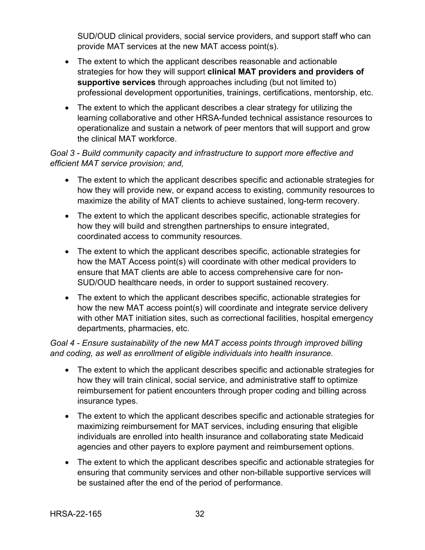SUD/OUD clinical providers, social service providers, and support staff who can provide MAT services at the new MAT access point(s).

- The extent to which the applicant describes reasonable and actionable strategies for how they will support **clinical MAT providers and providers of supportive services** through approaches including (but not limited to) professional development opportunities, trainings, certifications, mentorship, etc.
- The extent to which the applicant describes a clear strategy for utilizing the learning collaborative and other HRSA-funded technical assistance resources to operationalize and sustain a network of peer mentors that will support and grow the clinical MAT workforce.

## *Goal 3 - Build community capacity and infrastructure to support more effective and efficient MAT service provision; and,*

- The extent to which the applicant describes specific and actionable strategies for how they will provide new, or expand access to existing, community resources to maximize the ability of MAT clients to achieve sustained, long-term recovery.
- The extent to which the applicant describes specific, actionable strategies for how they will build and strengthen partnerships to ensure integrated, coordinated access to community resources.
- The extent to which the applicant describes specific, actionable strategies for how the MAT Access point(s) will coordinate with other medical providers to ensure that MAT clients are able to access comprehensive care for non-SUD/OUD healthcare needs, in order to support sustained recovery.
- The extent to which the applicant describes specific, actionable strategies for how the new MAT access point(s) will coordinate and integrate service delivery with other MAT initiation sites, such as correctional facilities, hospital emergency departments, pharmacies, etc.

## *Goal 4 - Ensure sustainability of the new MAT access points through improved billing and coding, as well as enrollment of eligible individuals into health insurance.*

- The extent to which the applicant describes specific and actionable strategies for how they will train clinical, social service, and administrative staff to optimize reimbursement for patient encounters through proper coding and billing across insurance types.
- The extent to which the applicant describes specific and actionable strategies for maximizing reimbursement for MAT services, including ensuring that eligible individuals are enrolled into health insurance and collaborating state Medicaid agencies and other payers to explore payment and reimbursement options.
- The extent to which the applicant describes specific and actionable strategies for ensuring that community services and other non-billable supportive services will be sustained after the end of the period of performance.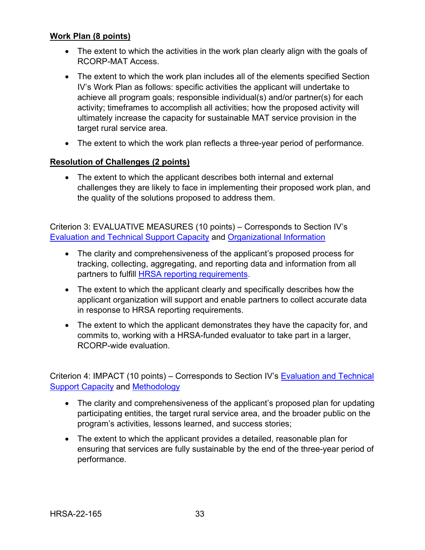#### **Work Plan (8 points)**

- The extent to which the activities in the work plan clearly align with the goals of RCORP-MAT Access.
- The extent to which the work plan includes all of the elements specified Section IV's [Work Plan](#page-18-0) as follows: specific activities the applicant will undertake to achieve all program goals; responsible individual(s) and/or partner(s) for each activity; timeframes to accomplish all activities; how the proposed activity will ultimately increase the capacity for sustainable MAT service provision in the target rural service area.
- The extent to which the work plan reflects a three-year period of performance.

#### **Resolution of Challenges (2 points)**

• The extent to which the applicant describes both internal and external challenges they are likely to face in implementing their proposed work plan, and the quality of the solutions proposed to address them.

Criterion 3: EVALUATIVE MEASURES (10 points) – Corresponds to Section IV's [Evaluation and Technical Support Capacity](#page-19-1) and [Organizational Information](#page-20-0)

- The clarity and comprehensiveness of the applicant's proposed process for tracking, collecting, aggregating, and reporting data and information from all partners to fulfill [HRSA reporting requirements.](#page-41-0)
- The extent to which the applicant clearly and specifically describes how the applicant organization will support and enable partners to collect accurate data in response to HRSA reporting requirements.
- The extent to which the applicant demonstrates they have the capacity for, and commits to, working with a HRSA-funded evaluator to take part in a larger, RCORP-wide evaluation.

<span id="page-36-0"></span>Criterion 4: IMPACT (10 points) – Corresponds to Section IV's [Evaluation and Technical](#page-19-1)  [Support Capacity](#page-19-1) and [Methodology](#page-16-0)

- The clarity and comprehensiveness of the applicant's proposed plan for updating participating entities, the target rural service area, and the broader public on the program's activities, lessons learned, and success stories;
- The extent to which the applicant provides a detailed, reasonable plan for ensuring that services are fully sustainable by the end of the three-year period of performance.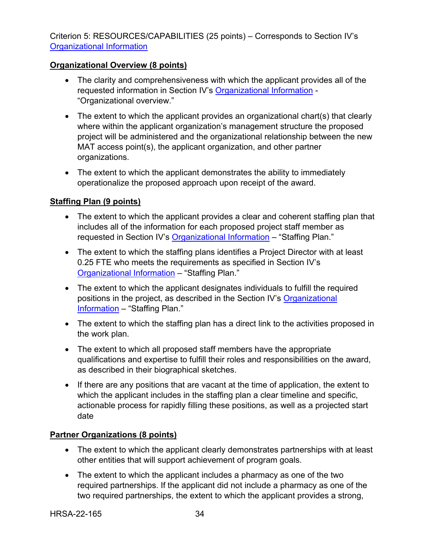<span id="page-37-0"></span>Criterion 5: RESOURCES/CAPABILITIES (25 points) – Corresponds to Section IV's [Organizational Information](#page-20-0)

### **Organizational Overview (8 points)**

- The clarity and comprehensiveness with which the applicant provides all of the requested information in Section IV's [Organizational Information](#page-20-0) - "Organizational overview."
- The extent to which the applicant provides an organizational chart(s) that clearly where within the applicant organization's management structure the proposed project will be administered and the organizational relationship between the new MAT access point(s), the applicant organization, and other partner organizations.
- The extent to which the applicant demonstrates the ability to immediately operationalize the proposed approach upon receipt of the award.

### **Staffing Plan (9 points)**

- The extent to which the applicant provides a clear and coherent staffing plan that includes all of the information for each proposed project staff member as requested in Section IV's [Organizational Information](#page-20-0) – "Staffing Plan."
- The extent to which the staffing plans identifies a Project Director with at least 0.25 FTE who meets the requirements as specified in Section IV's [Organizational Information](#page-20-0) – "Staffing Plan."
- The extent to which the applicant designates individuals to fulfill the required positions in the project, as described in the Section IV's [Organizational](#page-20-0)  [Information](#page-20-0) – "Staffing Plan."
- The extent to which the staffing plan has a direct link to the activities proposed in the work plan.
- The extent to which all proposed staff members have the appropriate qualifications and expertise to fulfill their roles and responsibilities on the award, as described in their biographical sketches.
- If there are any positions that are vacant at the time of application, the extent to which the applicant includes in the staffing plan a clear timeline and specific, actionable process for rapidly filling these positions, as well as a projected start date

### **Partner Organizations (8 points)**

- The extent to which the applicant clearly demonstrates partnerships with at least other entities that will support achievement of program goals.
- The extent to which the applicant includes a pharmacy as one of the two required partnerships. If the applicant did not include a pharmacy as one of the two required partnerships, the extent to which the applicant provides a strong,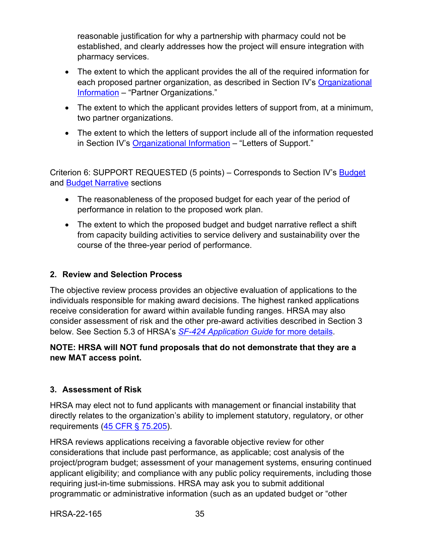reasonable justification for why a partnership with pharmacy could not be established, and clearly addresses how the project will ensure integration with pharmacy services.

- The extent to which the applicant provides the all of the required information for each proposed partner organization, as described in Section IV's [Organizational](#page-20-0)  [Information](#page-20-0) – "Partner Organizations."
- The extent to which the applicant provides letters of support from, at a minimum, two partner organizations.
- The extent to which the letters of support include all of the information requested in Section IV's [Organizational Information](#page-20-0) – "Letters of Support."

Criterion 6: SUPPORT REQUESTED (5 points) – Corresponds to Section IV's [Budget](#page-23-0) and [Budget Narrative](#page-24-0) sections

- The reasonableness of the proposed budget for each year of the period of performance in relation to the proposed work plan.
- The extent to which the proposed budget and budget narrative reflect a shift from capacity building activities to service delivery and sustainability over the course of the three-year period of performance.

## <span id="page-38-0"></span>**2. Review and Selection Process**

The objective review process provides an objective evaluation of applications to the individuals responsible for making award decisions. The highest ranked applications receive consideration for award within available funding ranges. HRSA may also consider assessment of risk and the other pre-award activities described in Section 3 below. See Section 5.3 of HRSA's *SF-424 [Application Guide](http://www.hrsa.gov/grants/apply/applicationguide/sf424guide.pdf)* for more details.

## **NOTE: HRSA will NOT fund proposals that do not demonstrate that they are a new MAT access point.**

## <span id="page-38-1"></span>**3. Assessment of Risk**

HRSA may elect not to fund applicants with management or financial instability that directly relates to the organization's ability to implement statutory, regulatory, or other requirements [\(45 CFR § 75.205\)](https://www.ecfr.gov/cgi-bin/retrieveECFR?gp=1&SID=4d52364ec83fab994c665943dadf9cf7&ty=HTML&h=L&r=PART&n=pt45.1.75).

HRSA reviews applications receiving a favorable objective review for other considerations that include past performance, as applicable; cost analysis of the project/program budget; assessment of your management systems, ensuring continued applicant eligibility; and compliance with any public policy requirements, including those requiring just-in-time submissions. HRSA may ask you to submit additional programmatic or administrative information (such as an updated budget or "other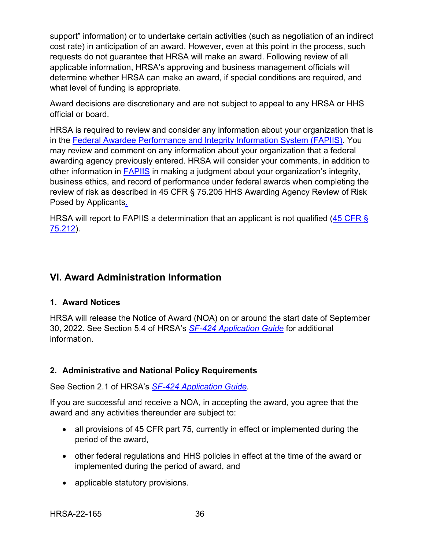support" information) or to undertake certain activities (such as negotiation of an indirect cost rate) in anticipation of an award. However, even at this point in the process, such requests do not guarantee that HRSA will make an award. Following review of all applicable information, HRSA's approving and business management officials will determine whether HRSA can make an award, if special conditions are required, and what level of funding is appropriate.

Award decisions are discretionary and are not subject to appeal to any HRSA or HHS official or board.

HRSA is required to review and consider any information about your organization that is in the [Federal Awardee Performance and Integrity Information System \(FAPIIS\).](https://www.fapiis.gov/) You may review and comment on any information about your organization that a federal awarding agency previously entered. HRSA will consider your comments, in addition to other information in [FAPIIS](https://www.fapiis.gov/) in making a judgment about your organization's integrity, business ethics, and record of performance under federal awards when completing the review of risk as described in [45 CFR § 75.205 HHS Awarding Agency Review of Risk](https://www.ecfr.gov/cgi-bin/retrieveECFR?gp=1&SID=4d52364ec83fab994c665943dadf9cf7&ty=HTML&h=L&r=PART&n=pt45.1.75)  [Posed by Applicants.](https://www.ecfr.gov/cgi-bin/retrieveECFR?gp=1&SID=4d52364ec83fab994c665943dadf9cf7&ty=HTML&h=L&r=PART&n=pt45.1.75)

HRSA will report to FAPIIS a determination that an applicant is not qualified (45 CFR § [75.212\)](https://www.ecfr.gov/cgi-bin/retrieveECFR?gp=1&SID=4d52364ec83fab994c665943dadf9cf7&ty=HTML&h=L&r=PART&n=pt45.1.75).

# <span id="page-39-0"></span>**VI. Award Administration Information**

### <span id="page-39-1"></span>**1. Award Notices**

HRSA will release the Notice of Award (NOA) on or around the start date of September 30, 2022. See Section 5.4 of HRSA's *SF-424 [Application Guide](http://www.hrsa.gov/grants/apply/applicationguide/sf424guide.pdf)* for additional information.

### <span id="page-39-2"></span>**2. Administrative and National Policy Requirements**

See Section 2.1 of HRSA's *SF-424 [Application Guide](http://www.hrsa.gov/grants/apply/applicationguide/sf424guide.pdf)*.

If you are successful and receive a NOA, in accepting the award, you agree that the award and any activities thereunder are subject to:

- all provisions of 45 CFR part 75, currently in effect or implemented during the period of the award,
- other federal regulations and HHS policies in effect at the time of the award or implemented during the period of award, and
- applicable statutory provisions.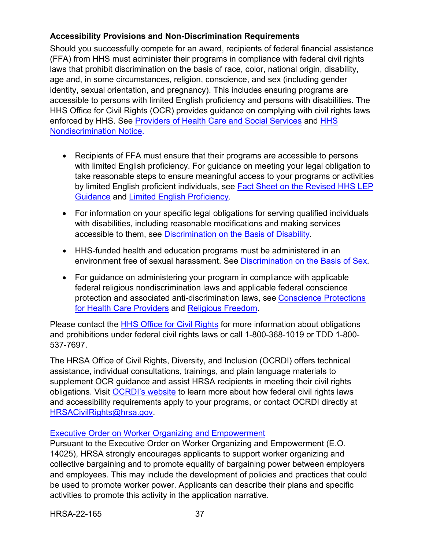## **Accessibility Provisions and Non-Discrimination Requirements**

Should you successfully compete for an award, recipients of federal financial assistance (FFA) from HHS must administer their programs in compliance with federal civil rights laws that prohibit discrimination on the basis of race, color, national origin, disability, age and, in some circumstances, religion, conscience, and sex (including gender identity, sexual orientation, and pregnancy). This includes ensuring programs are accessible to persons with limited English proficiency and persons with disabilities. The HHS Office for Civil Rights (OCR) provides guidance on complying with civil rights laws enforced by HHS. See [Providers of Health Care and Social Services](https://www.hhs.gov/civil-rights/for-providers/provider-obligations/index.html) and [HHS](https://www.hhs.gov/civil-rights/for-individuals/nondiscrimination/index.html)  [Nondiscrimination Notice.](https://www.hhs.gov/civil-rights/for-individuals/nondiscrimination/index.html)

- Recipients of FFA must ensure that their programs are accessible to persons with limited English proficiency. For guidance on meeting your legal obligation to take reasonable steps to ensure meaningful access to your programs or activities by limited English proficient individuals, see [Fact Sheet on the Revised HHS LEP](https://www.hhs.gov/civil-rights/for-individuals/special-topics/limited-english-proficiency/fact-sheet-guidance/index.html)  [Guidance](https://www.hhs.gov/civil-rights/for-individuals/special-topics/limited-english-proficiency/fact-sheet-guidance/index.html) and [Limited English Proficiency.](https://www.lep.gov/)
- For information on your specific legal obligations for serving qualified individuals with disabilities, including reasonable modifications and making services accessible to them, see [Discrimination on the Basis of Disability.](http://www.hhs.gov/ocr/civilrights/understanding/disability/index.html)
- HHS-funded health and education programs must be administered in an environment free of sexual harassment. See [Discrimination on the Basis of Sex.](https://www.hhs.gov/civil-rights/for-individuals/sex-discrimination/index.html)
- For guidance on administering your program in compliance with applicable federal religious nondiscrimination laws and applicable federal conscience protection and associated anti-discrimination laws, see [Conscience Protections](https://www.hhs.gov/conscience/conscience-protections/index.html)  [for Health Care Providers](https://www.hhs.gov/conscience/conscience-protections/index.html) and [Religious Freedom.](https://www.hhs.gov/conscience/religious-freedom/index.html)

Please contact the [HHS Office for Civil Rights](https://www.hhs.gov/ocr/about-us/contact-us/index.html) for more information about obligations and prohibitions under federal civil rights laws or call 1-800-368-1019 or TDD 1-800- 537-7697.

The HRSA Office of Civil Rights, Diversity, and Inclusion (OCRDI) offers technical assistance, individual consultations, trainings, and plain language materials to supplement OCR guidance and assist HRSA recipients in meeting their civil rights obligations. Visit [OCRDI's website](https://www.hrsa.gov/about/organization/bureaus/ocrdi#recipients) to learn more about how federal civil rights laws and accessibility requirements apply to your programs, or contact OCRDI directly at [HRSACivilRights@hrsa.gov.](mailto:HRSACivilRights@hrsa.gov)

## [Executive Order on Worker Organizing and Empowerment](https://www.whitehouse.gov/briefing-room/presidential-actions/2021/04/26/executive-order-on-worker-organizing-and-empowerment/)

Pursuant to the Executive Order on Worker Organizing and Empowerment (E.O. 14025), HRSA strongly encourages applicants to support worker organizing and collective bargaining and to promote equality of bargaining power between employers and employees. This may include the development of policies and practices that could be used to promote worker power. Applicants can describe their plans and specific activities to promote this activity in the application narrative.

HRSA-22-165 37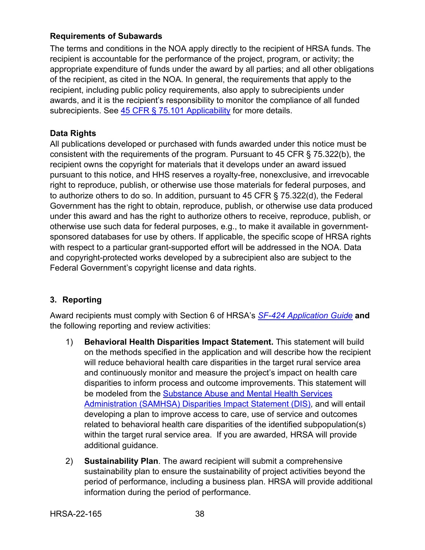### **Requirements of Subawards**

The terms and conditions in the NOA apply directly to the recipient of HRSA funds. The recipient is accountable for the performance of the project, program, or activity; the appropriate expenditure of funds under the award by all parties; and all other obligations of the recipient, as cited in the NOA. In general, the requirements that apply to the recipient, including public policy requirements, also apply to subrecipients under awards, and it is the recipient's responsibility to monitor the compliance of all funded subrecipients. See [45 CFR § 75.101 Applicability](https://www.ecfr.gov/cgi-bin/retrieveECFR?gp=1&SID=4d52364ec83fab994c665943dadf9cf7&ty=HTML&h=L&r=PART&n=pt45.1.75) for more details.

## **Data Rights**

All publications developed or purchased with funds awarded under this notice must be consistent with the requirements of the program. Pursuant to 45 CFR § 75.322(b), the recipient owns the copyright for materials that it develops under an award issued pursuant to this notice, and HHS reserves a royalty-free, nonexclusive, and irrevocable right to reproduce, publish, or otherwise use those materials for federal purposes, and to authorize others to do so. In addition, pursuant to 45 CFR § 75.322(d), the Federal Government has the right to obtain, reproduce, publish, or otherwise use data produced under this award and has the right to authorize others to receive, reproduce, publish, or otherwise use such data for federal purposes, e.g., to make it available in governmentsponsored databases for use by others. If applicable, the specific scope of HRSA rights with respect to a particular grant-supported effort will be addressed in the NOA. Data and copyright-protected works developed by a subrecipient also are subject to the Federal Government's copyright license and data rights.

# <span id="page-41-0"></span>**3. Reporting**

Award recipients must comply with Section 6 of HRSA's *SF-424 [Application Guide](http://www.hrsa.gov/grants/apply/applicationguide/sf424guide.pdf)* **and** the following reporting and review activities:

- 1) **Behavioral Health Disparities Impact Statement.** This statement will build on the methods specified in the application and will describe how the recipient will reduce behavioral health care disparities in the target rural service area and continuously monitor and measure the project's impact on health care disparities to inform process and outcome improvements. This statement will be modeled from the [Substance Abuse and Mental](https://www.samhsa.gov/grants/grants-management/disparity-impact-statement) Health Services [Administration \(SAMHSA\) Disparities Impact Statement \(DIS\),](https://www.samhsa.gov/grants/grants-management/disparity-impact-statement) and will entail developing a plan to improve access to care, use of service and outcomes related to behavioral health care disparities of the identified subpopulation(s) within the target rural service area. If you are awarded, HRSA will provide additional guidance.
- 2) **Sustainability Plan**. The award recipient will submit a comprehensive sustainability plan to ensure the sustainability of project activities beyond the period of performance, including a business plan. HRSA will provide additional information during the period of performance.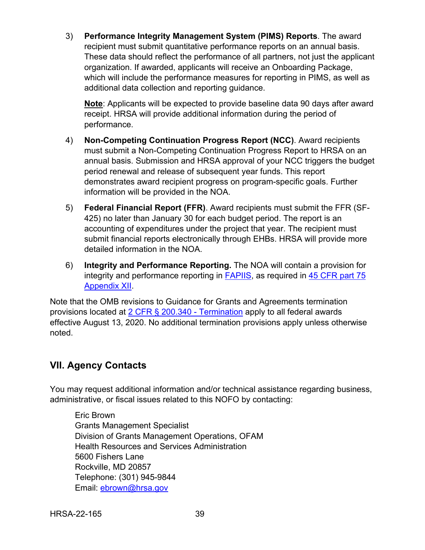3) **Performance Integrity Management System (PIMS) Reports**. The award recipient must submit quantitative performance reports on an annual basis. These data should reflect the performance of all partners, not just the applicant organization. If awarded, applicants will receive an Onboarding Package, which will include the performance measures for reporting in PIMS, as well as additional data collection and reporting guidance.

**Note**: Applicants will be expected to provide baseline data 90 days after award receipt. HRSA will provide additional information during the period of performance.

- 4) **Non-Competing Continuation Progress Report (NCC)**. Award recipients must submit a Non-Competing Continuation Progress Report to HRSA on an annual basis. Submission and HRSA approval of your NCC triggers the budget period renewal and release of subsequent year funds. This report demonstrates award recipient progress on program-specific goals. Further information will be provided in the NOA.
- 5) **Federal Financial Report (FFR)**. Award recipients must submit the FFR (SF-425) no later than January 30 for each budget period. The report is an accounting of expenditures under the project that year. The recipient must submit financial reports electronically through EHBs. HRSA will provide more detailed information in the NOA.
- 6) **Integrity and Performance Reporting.** The NOA will contain a provision for integrity and performance reporting in [FAPIIS,](https://www.fapiis.gov/) as required in [45 CFR part 75](https://www.ecfr.gov/cgi-bin/retrieveECFR?gp=1&SID=4d52364ec83fab994c665943dadf9cf7&ty=HTML&h=L&r=PART&n=pt45.1.75)  [Appendix XII.](https://www.ecfr.gov/cgi-bin/retrieveECFR?gp=1&SID=4d52364ec83fab994c665943dadf9cf7&ty=HTML&h=L&r=PART&n=pt45.1.75)

Note that the OMB revisions to Guidance for Grants and Agreements termination provisions located at [2 CFR § 200.340 - Termination](https://www.ecfr.gov/cgi-bin/text-idx?SID=da67ef9e79256f1b11e99d2ecb083228&mc=true&node=se2.1.200_1340&rgn=div8) apply to all federal awards effective August 13, 2020. No additional termination provisions apply unless otherwise noted.

# <span id="page-42-0"></span>**VII. Agency Contacts**

You may request additional information and/or technical assistance regarding business, administrative, or fiscal issues related to this NOFO by contacting:

Eric Brown Grants Management Specialist Division of Grants Management Operations, OFAM Health Resources and Services Administration 5600 Fishers Lane Rockville, MD 20857 Telephone: (301) 945-9844 Email: [ebrown@hrsa.gov](mailto:ebrown@hrsa.gov)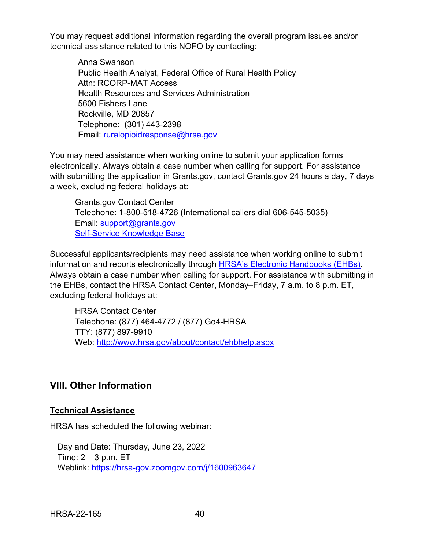You may request additional information regarding the overall program issues and/or technical assistance related to this NOFO by contacting:

Anna Swanson Public Health Analyst, Federal Office of Rural Health Policy Attn: RCORP-MAT Access Health Resources and Services Administration 5600 Fishers Lane Rockville, MD 20857 Telephone: (301) 443-2398 Email: [ruralopioidresponse@hrsa.gov](mailto:ruralopioidresponse@hrsa.gov) 

You may need assistance when working online to submit your application forms electronically. Always obtain a case number when calling for support. For assistance with submitting the application in Grants.gov, contact Grants.gov 24 hours a day, 7 days a week, excluding federal holidays at:

Grants.gov Contact Center Telephone: 1-800-518-4726 (International callers dial 606-545-5035) Email: [support@grants.gov](mailto:support@grants.gov) [Self-Service Knowledge Base](https://gditshared.servicenowservices.com/hhs_grants?pt=Grants) 

Successful applicants/recipients may need assistance when working online to submit information and reports electronically through [HRSA's Electronic Handbooks \(EHBs\).](https://grants.hrsa.gov/2010/WebEPSExternal/Interface/Common/AccessControl/Login.aspx) Always obtain a case number when calling for support. For assistance with submitting in the EHBs, contact the HRSA Contact Center, Monday–Friday, 7 a.m. to 8 p.m. ET, excluding federal holidays at:

HRSA Contact Center Telephone: (877) 464-4772 / (877) Go4-HRSA TTY: (877) 897-9910 Web: <http://www.hrsa.gov/about/contact/ehbhelp.aspx>

# <span id="page-43-0"></span>**VIII. Other Information**

### **Technical Assistance**

HRSA has scheduled the following webinar:

Day and Date: Thursday, June 23, 2022 Time:  $2 - 3$  p.m. ET Weblink:<https://hrsa-gov.zoomgov.com/j/1600963647>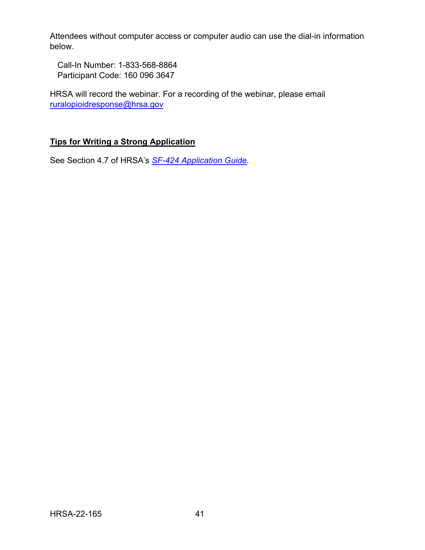Attendees without computer access or computer audio can use the dial-in information below.

Call-In Number: 1-833-568-8864 Participant Code: 160 096 3647

HRSA will record the webinar. For a recording of the webinar, please email [ruralopioidresponse@hrsa.gov](mailto:ruralopioidresponse@hrsa.gov)

## **Tips for Writing a Strong Application**

See Section 4.7 of HRSA's *SF-424 [Application Guide](http://www.hrsa.gov/grants/apply/applicationguide/sf424guide.pdf)*.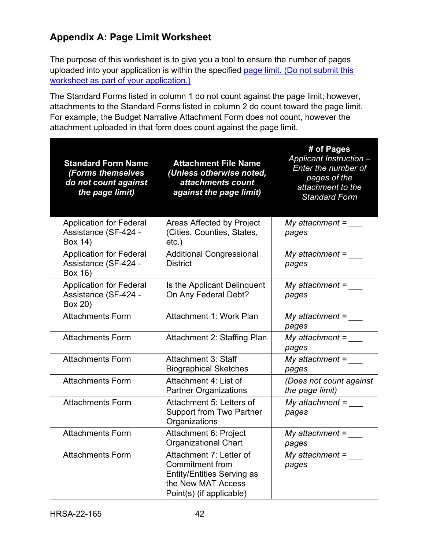# <span id="page-45-0"></span>**Appendix A: Page Limit Worksheet**

The purpose of this worksheet is to give you a tool to ensure the number of pages uploaded into your application is within the specified [page limit.](#page-9-1) (Do not submit this worksheet as part of your application.)

The Standard Forms listed in column 1 do not count against the page limit; however, attachments to the Standard Forms listed in column 2 do count toward the page limit. For example, the Budget Narrative Attachment Form does not count, however the attachment uploaded in that form does count against the page limit.

| <b>Standard Form Name</b><br>(Forms themselves<br>do not count against<br>the page limit) | <b>Attachment File Name</b><br>(Unless otherwise noted,<br>attachments count<br>against the page limit)                                  | # of Pages<br>Applicant Instruction -<br>Enter the number of<br>pages of the<br>attachment to the<br><b>Standard Form</b> |
|-------------------------------------------------------------------------------------------|------------------------------------------------------------------------------------------------------------------------------------------|---------------------------------------------------------------------------------------------------------------------------|
| <b>Application for Federal</b><br>Assistance (SF-424 -<br>Box 14)                         | Areas Affected by Project<br>(Cities, Counties, States,<br>$etc.$ )                                                                      | My attachment $=$ _____<br>pages                                                                                          |
| <b>Application for Federal</b><br>Assistance (SF-424 -<br>Box 16)                         | <b>Additional Congressional</b><br><b>District</b>                                                                                       | My attachment $=$<br>pages                                                                                                |
| <b>Application for Federal</b><br>Assistance (SF-424 -<br>Box 20)                         | Is the Applicant Delinquent<br>On Any Federal Debt?                                                                                      | My attachment $=$<br>pages                                                                                                |
| <b>Attachments Form</b>                                                                   | Attachment 1: Work Plan                                                                                                                  | My attachment =<br>pages                                                                                                  |
| <b>Attachments Form</b>                                                                   | Attachment 2: Staffing Plan                                                                                                              | My attachment $=$<br>pages                                                                                                |
| <b>Attachments Form</b>                                                                   | <b>Attachment 3: Staff</b><br><b>Biographical Sketches</b>                                                                               | My attachment =<br>pages                                                                                                  |
| <b>Attachments Form</b>                                                                   | Attachment 4: List of<br><b>Partner Organizations</b>                                                                                    | (Does not count against<br>the page limit)                                                                                |
| <b>Attachments Form</b>                                                                   | Attachment 5: Letters of<br><b>Support from Two Partner</b><br>Organizations                                                             | My attachment =<br>pages                                                                                                  |
| <b>Attachments Form</b>                                                                   | Attachment 6: Project<br><b>Organizational Chart</b>                                                                                     | My attachment $=$<br>pages                                                                                                |
| <b>Attachments Form</b>                                                                   | Attachment 7: Letter of<br><b>Commitment from</b><br><b>Entity/Entities Serving as</b><br>the New MAT Access<br>Point(s) (if applicable) | My attachment $=$<br>pages                                                                                                |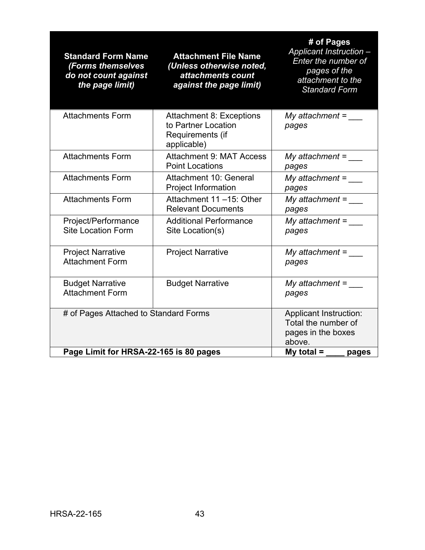| <b>Standard Form Name</b><br>(Forms themselves<br>do not count against<br>the page limit) | <b>Attachment File Name</b><br>(Unless otherwise noted,<br>attachments count<br>against the page limit) | # of Pages<br>Applicant Instruction -<br>Enter the number of<br>pages of the<br>attachment to the<br><b>Standard Form</b> |
|-------------------------------------------------------------------------------------------|---------------------------------------------------------------------------------------------------------|---------------------------------------------------------------------------------------------------------------------------|
| <b>Attachments Form</b>                                                                   | <b>Attachment 8: Exceptions</b><br>to Partner Location<br>Requirements (if<br>applicable)               | My attachment = $\rule{1em}{0.15mm}$<br>pages                                                                             |
| <b>Attachments Form</b>                                                                   | <b>Attachment 9: MAT Access</b><br><b>Point Locations</b>                                               | My attachment $=$<br>pages                                                                                                |
| <b>Attachments Form</b>                                                                   | Attachment 10: General<br><b>Project Information</b>                                                    | My attachment =<br>pages                                                                                                  |
| <b>Attachments Form</b>                                                                   | Attachment 11-15: Other<br><b>Relevant Documents</b>                                                    | My attachment =<br>pages                                                                                                  |
| Project/Performance<br><b>Site Location Form</b>                                          | <b>Additional Performance</b><br>Site Location(s)                                                       | $My$ attachment =<br>pages                                                                                                |
| <b>Project Narrative</b><br><b>Attachment Form</b>                                        | <b>Project Narrative</b>                                                                                | My attachment $=$<br>pages                                                                                                |
| <b>Budget Narrative</b><br><b>Attachment Form</b>                                         | <b>Budget Narrative</b>                                                                                 | My attachment $=$ _____<br>pages                                                                                          |
| # of Pages Attached to Standard Forms                                                     |                                                                                                         | <b>Applicant Instruction:</b><br>Total the number of<br>pages in the boxes<br>above.                                      |
| Page Limit for HRSA-22-165 is 80 pages                                                    |                                                                                                         | My total $=$<br>pages                                                                                                     |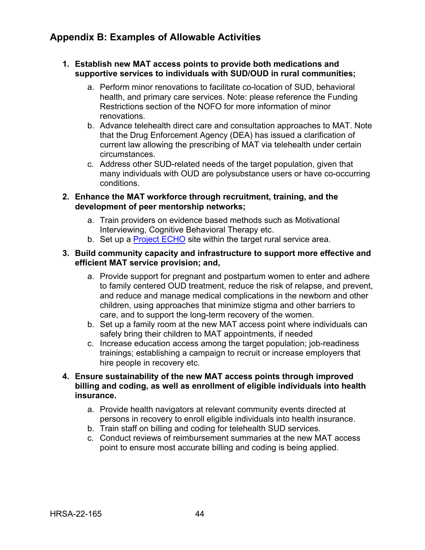# <span id="page-47-0"></span>**Appendix B: Examples of Allowable Activities**

#### **1. Establish new MAT access points to provide both medications and supportive services to individuals with SUD/OUD in rural communities;**

- a. Perform minor renovations to facilitate co-location of SUD, behavioral health, and primary care services. Note: please reference the [Funding](#page-31-1)  [Restrictions section](#page-31-1) of the NOFO for more information of minor renovations.
- b. Advance telehealth direct care and consultation approaches to MAT. Note that the Drug Enforcement Agency (DEA) has issued a clarification of current law allowing the prescribing of MAT via telehealth under certain circumstances.
- c. Address other SUD-related needs of the target population, given that many individuals with OUD are polysubstance users or have co-occurring conditions.

#### **2. Enhance the MAT workforce through recruitment, training, and the development of peer mentorship networks;**

- a. Train providers on evidence based methods such as Motivational Interviewing, Cognitive Behavioral Therapy etc.
- b. Set up a [Project ECHO](https://hsc.unm.edu/echo/what-we-do/about-the-echo-model.html) site within the target rural service area.

#### **3. Build community capacity and infrastructure to support more effective and efficient MAT service provision; and,**

- a. Provide support for pregnant and postpartum women to enter and adhere to family centered OUD treatment, reduce the risk of relapse, and prevent, and reduce and manage medical complications in the newborn and other children, using approaches that minimize stigma and other barriers to care, and to support the long-term recovery of the women.
- b. Set up a family room at the new MAT access point where individuals can safely bring their children to MAT appointments, if needed
- c. Increase education access among the target population; job-readiness trainings; establishing a campaign to recruit or increase employers that hire people in recovery etc.
- **4. Ensure sustainability of the new MAT access points through improved billing and coding, as well as enrollment of eligible individuals into health insurance.**
	- a. Provide health navigators at relevant community events directed at persons in recovery to enroll eligible individuals into health insurance.
	- b. Train staff on billing and coding for telehealth SUD services.
	- c. Conduct reviews of reimbursement summaries at the new MAT access point to ensure most accurate billing and coding is being applied.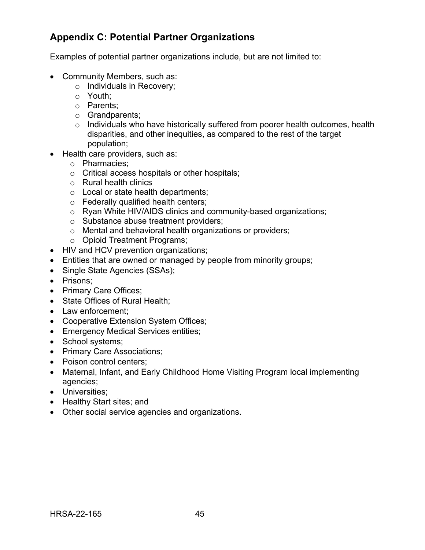# <span id="page-48-0"></span>**Appendix C: Potential Partner Organizations**

Examples of potential partner organizations include, but are not limited to:

- Community Members, such as:
	- o Individuals in Recovery;
	- o Youth;
	- o Parents;
	- o Grandparents;
	- o Individuals who have historically suffered from poorer health outcomes, health disparities, and other inequities, as compared to the rest of the target population;
- Health care providers, such as:
	- o Pharmacies;
	- o Critical access hospitals or other hospitals;
	- o Rural health clinics
	- o Local or state health departments;
	- o Federally qualified health centers;
	- o Ryan White HIV/AIDS clinics and community-based organizations;
	- o Substance abuse treatment providers;
	- o Mental and behavioral health organizations or providers;
	- o Opioid Treatment Programs;
- HIV and HCV prevention organizations;
- Entities that are owned or managed by people from minority groups;
- Single State Agencies (SSAs);
- Prisons;
- Primary Care Offices;
- State Offices of Rural Health;
- Law enforcement:
- Cooperative Extension System Offices;
- Emergency Medical Services entities;
- School systems;
- Primary Care Associations;
- Poison control centers;
- Maternal, Infant, and Early Childhood Home Visiting Program local implementing agencies;
- Universities;
- Healthy Start sites; and
- Other social service agencies and organizations.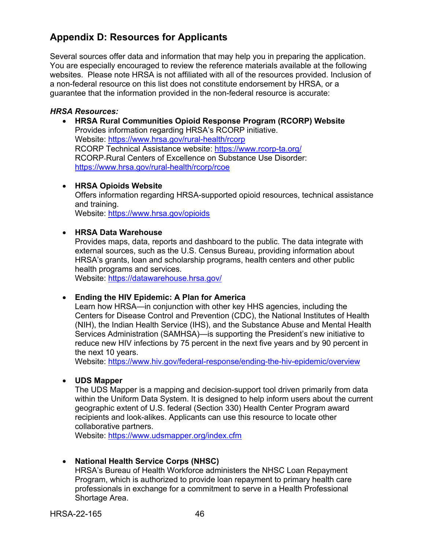# <span id="page-49-0"></span>**Appendix D: Resources for Applicants**

Several sources offer data and information that may help you in preparing the application. You are especially encouraged to review the reference materials available at the following websites. Please note HRSA is not affiliated with all of the resources provided. Inclusion of a non-federal resource on this list does not constitute endorsement by HRSA, or a guarantee that the information provided in the non-federal resource is accurate:

#### *HRSA Resources:*

• **HRSA Rural Communities Opioid Response Program (RCORP) Website**  Provides information regarding HRSA's RCORP initiative. Website:<https://www.hrsa.gov/rural-health/rcorp> RCORP Technical Assistance website:<https://www.rcorp-ta.org/> RCORP-Rural Centers of Excellence on Substance Use Disorder: <https://www.hrsa.gov/rural-health/rcorp/rcoe>

#### • **HRSA Opioids Website**

Offers information regarding HRSA-supported opioid resources, technical assistance and training.

Website:<https://www.hrsa.gov/opioids>

#### • **HRSA Data Warehouse**

Provides maps, data, reports and dashboard to the public. The data integrate with external sources, such as the U.S. Census Bureau, providing information about HRSA's grants, loan and scholarship programs, health centers and other public health programs and services.

Website:<https://datawarehouse.hrsa.gov/>

#### • **Ending the HIV Epidemic: A Plan for America**

Learn how HRSA—in conjunction with other key HHS agencies, including the Centers for Disease Control and Prevention (CDC), the National Institutes of Health (NIH), the Indian Health Service (IHS), and the Substance Abuse and Mental Health Services Administration (SAMHSA)—is supporting the President's new initiative to reduce new HIV infections by 75 percent in the next five years and by 90 percent in the next 10 years.

Website:<https://www.hiv.gov/federal-response/ending-the-hiv-epidemic/overview>

#### • **UDS Mapper**

The UDS Mapper is a mapping and decision-support tool driven primarily from data within the Uniform Data System. It is designed to help inform users about the current geographic extent of U.S. federal (Section 330) Health Center Program award recipients and look-alikes. Applicants can use this resource to locate other collaborative partners.

Website:<https://www.udsmapper.org/index.cfm>

#### • **National Health Service Corps (NHSC)**

HRSA's Bureau of Health Workforce administers the NHSC Loan Repayment Program, which is authorized to provide loan repayment to primary health care professionals in exchange for a commitment to serve in a Health Professional Shortage Area.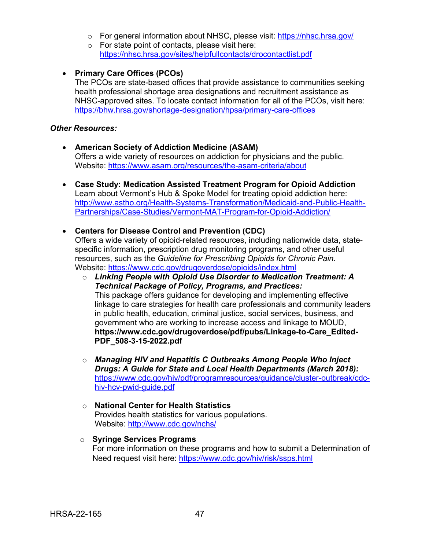- o For general information about NHSC, please visit:<https://nhsc.hrsa.gov/>
- $\circ$  For state point of contacts, please visit here: <https://nhsc.hrsa.gov/sites/helpfullcontacts/drocontactlist.pdf>
- **Primary Care Offices (PCOs)**

The PCOs are state-based offices that provide assistance to communities seeking health professional shortage area designations and recruitment assistance as NHSC-approved sites. To locate contact information for all of the PCOs, visit here: <https://bhw.hrsa.gov/shortage-designation/hpsa/primary-care-offices>

#### *Other Resources:*

- **American Society of Addiction Medicine (ASAM)**  Offers a wide variety of resources on addiction for physicians and the public. Website:<https://www.asam.org/resources/the-asam-criteria/about>
- **Case Study: Medication Assisted Treatment Program for Opioid Addiction**  Learn about Vermont's Hub & Spoke Model for treating opioid addiction here: [http://www.astho.org/Health-Systems-Transformation/Medicaid-and-Public-Health-](http://www.astho.org/Health-Systems-Transformation/Medicaid-and-Public-Health-Partnerships/Case-Studies/Vermont-MAT-Program-for-Opioid-Addiction/)[Partnerships/Case-Studies/Vermont-MAT-Program-for-Opioid-Addiction/](http://www.astho.org/Health-Systems-Transformation/Medicaid-and-Public-Health-Partnerships/Case-Studies/Vermont-MAT-Program-for-Opioid-Addiction/)
- **Centers for Disease Control and Prevention (CDC)**

Offers a wide variety of opioid-related resources, including nationwide data, statespecific information, prescription drug monitoring programs, and other useful resources, such as the *Guideline for Prescribing Opioids for Chronic Pain*. Website:<https://www.cdc.gov/drugoverdose/opioids/index.html>

- o *Linking People with Opioid Use Disorder to Medication Treatment: A Technical Package of Policy, Programs, and Practices:*  This package offers guidance for developing and implementing effective linkage to care strategies for health care professionals and community leaders in public health, education, criminal justice, social services, business, and government who are working to increase access and linkage to MOUD, **https://www.cdc.gov/drugoverdose/pdf/pubs/Linkage-to-Care\_Edited-PDF\_508-3-15-2022.pdf**
- o *Managing HIV and Hepatitis C Outbreaks Among People Who Inject Drugs: A Guide for State and Local Health Departments (March 2018):*  [https://www.cdc.gov/hiv/pdf/programresources/guidance/cluster-outbreak/cdc](https://www.cdc.gov/hiv/pdf/programresources/guidance/cluster-outbreak/cdc-hiv-hcv-pwid-guide.pdf)[hiv-hcv-pwid-guide.pdf](https://www.cdc.gov/hiv/pdf/programresources/guidance/cluster-outbreak/cdc-hiv-hcv-pwid-guide.pdf)
- o **National Center for Health Statistics**  Provides health statistics for various populations. Website:<http://www.cdc.gov/nchs/>
- o **Syringe Services Programs**  For more information on these programs and how to submit a Determination of Need request visit here:<https://www.cdc.gov/hiv/risk/ssps.html>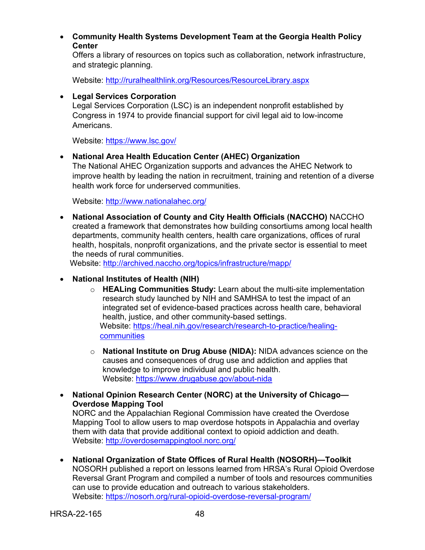• **Community Health Systems Development Team at the Georgia Health Policy Center** 

Offers a library of resources on topics such as collaboration, network infrastructure, and strategic planning.

Website:<http://ruralhealthlink.org/Resources/ResourceLibrary.aspx>

#### • **Legal Services Corporation**

Legal Services Corporation (LSC) is an independent nonprofit established by Congress in 1974 to provide financial support for civil legal aid to low-income Americans.

Website:<https://www.lsc.gov/>

• **National Area Health Education Center (AHEC) Organization** 

The National AHEC Organization supports and advances the AHEC Network to improve health by leading the nation in recruitment, training and retention of a diverse health work force for underserved communities.

Website:<http://www.nationalahec.org/>

• **National Association of County and City Health Officials (NACCHO)** NACCHO created a framework that demonstrates how building consortiums among local health departments, community health centers, health care organizations, offices of rural health, hospitals, nonprofit organizations, and the private sector is essential to meet the needs of rural communities.

Website:<http://archived.naccho.org/topics/infrastructure/mapp/>

#### • **National Institutes of Health (NIH)**

- o **HEALing Communities Study:** Learn about the multi-site implementation research study launched by NIH and SAMHSA to test the impact of an integrated set of evidence-based practices across health care, behavioral health, justice, and other community-based settings. Website: [https://heal.nih.gov/research/research-to-practice/healing](https://heal.nih.gov/research/research-to-practice/healing-communities)[communities](https://heal.nih.gov/research/research-to-practice/healing-communities)
- o **National Institute on Drug Abuse (NIDA):** NIDA advances science on the causes and consequences of drug use and addiction and applies that knowledge to improve individual and public health. Website:<https://www.drugabuse.gov/about-nida>
- **National Opinion Research Center (NORC) at the University of Chicago— Overdose Mapping Tool**

NORC and the Appalachian Regional Commission have created the Overdose Mapping Tool to allow users to map overdose hotspots in Appalachia and overlay them with data that provide additional context to opioid addiction and death. Website:<http://overdosemappingtool.norc.org/>

• **National Organization of State Offices of Rural Health (NOSORH)—Toolkit**  NOSORH published a report on lessons learned from HRSA's Rural Opioid Overdose Reversal Grant Program and compiled a number of tools and resources communities can use to provide education and outreach to various stakeholders. Website:<https://nosorh.org/rural-opioid-overdose-reversal-program/>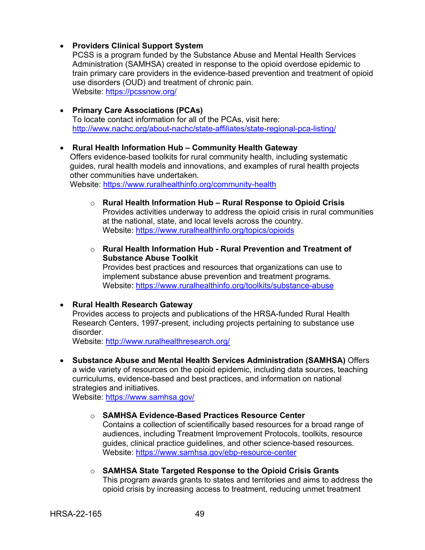#### • **Providers Clinical Support System**

PCSS is a program funded by the Substance Abuse and Mental Health Services Administration (SAMHSA) created in response to the opioid overdose epidemic to train primary care providers in the evidence-based prevention and treatment of opioid use disorders (OUD) and treatment of chronic pain. Website:<https://pcssnow.org/>

#### • **Primary Care Associations (PCAs)**

To locate contact information for all of the PCAs, visit here: <http://www.nachc.org/about-nachc/state-affiliates/state-regional-pca-listing/>

#### • **Rural Health Information Hub – Community Health Gateway**

Offers evidence-based toolkits for rural community health, including systematic guides, rural health models and innovations, and examples of rural health projects other communities have undertaken.

Website:<https://www.ruralhealthinfo.org/community-health>

- o **Rural Health Information Hub Rural Response to Opioid Crisis**  Provides activities underway to address the opioid crisis in rural communities at the national, state, and local levels across the country. Website:<https://www.ruralhealthinfo.org/topics/opioids>
- o **Rural Health Information Hub Rural Prevention and Treatment of Substance Abuse Toolkit**  Provides best practices and resources that organizations can use to

implement substance abuse prevention and treatment programs. Website:<https://www.ruralhealthinfo.org/toolkits/substance-abuse>

#### • **Rural Health Research Gateway**

Provides access to projects and publications of the HRSA-funded Rural Health Research Centers, 1997-present, including projects pertaining to substance use disorder.

Website:<http://www.ruralhealthresearch.org/>

• **Substance Abuse and Mental Health Services Administration (SAMHSA)** Offers a wide variety of resources on the opioid epidemic, including data sources, teaching curriculums, evidence-based and best practices, and information on national strategies and initiatives.

Website:<https://www.samhsa.gov/>

#### o **SAMHSA Evidence-Based Practices Resource Center**

Contains a collection of scientifically based resources for a broad range of audiences, including Treatment Improvement Protocols, toolkits, resource guides, clinical practice guidelines, and other science-based resources. Website:<https://www.samhsa.gov/ebp-resource-center>

o **SAMHSA State Targeted Response to the Opioid Crisis Grants**  This program awards grants to states and territories and aims to address the opioid crisis by increasing access to treatment, reducing unmet treatment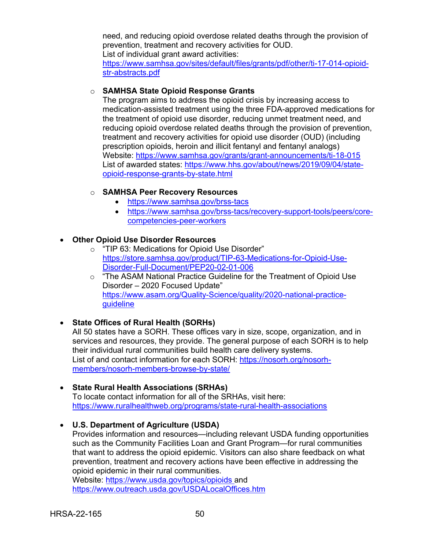need, and reducing opioid overdose related deaths through the provision of prevention, treatment and recovery activities for OUD. List of individual grant award activities:

[https://www.samhsa.gov/sites/default/files/grants/pdf/other/ti-17-014-opioid](https://www.samhsa.gov/sites/default/files/grants/pdf/other/ti-17-014-opioid-str-abstracts.pdf)[str-abstracts.pdf](https://www.samhsa.gov/sites/default/files/grants/pdf/other/ti-17-014-opioid-str-abstracts.pdf)

#### o **SAMHSA State Opioid Response Grants**

The program aims to address the opioid crisis by increasing access to medication-assisted treatment using the three FDA-approved medications for the treatment of opioid use disorder, reducing unmet treatment need, and reducing opioid overdose related deaths through the provision of prevention, treatment and recovery activities for opioid use disorder (OUD) (including prescription opioids, heroin and illicit fentanyl and fentanyl analogs) Website:<https://www.samhsa.gov/grants/grant-announcements/ti-18-015> List of awarded states: [https://www.hhs.gov/about/news/2019/09/04/state](https://www.hhs.gov/about/news/2019/09/04/state-opioid-response-grants-by-state.html)[opioid-response-grants-by-state.html](https://www.hhs.gov/about/news/2019/09/04/state-opioid-response-grants-by-state.html)

#### o **SAMHSA Peer Recovery Resources**

- <https://www.samhsa.gov/brss-tacs>
- [https://www.samhsa.gov/brss-tacs/recovery-support-tools/peers/core](https://www.samhsa.gov/brss-tacs/recovery-support-tools/peers/core-competencies-peer-workers)[competencies-peer-workers](https://www.samhsa.gov/brss-tacs/recovery-support-tools/peers/core-competencies-peer-workers)

### • **Other Opioid Use Disorder Resources**

- o "TIP 63: Medications for Opioid Use Disorder" [https://store.samhsa.gov/product/TIP-63-Medications-for-Opioid-Use-](https://store.samhsa.gov/product/TIP-63-Medications-for-Opioid-Use-Disorder-Full-Document/PEP20-02-01-006)[Disorder-Full-Document/PEP20-02-01-006](https://store.samhsa.gov/product/TIP-63-Medications-for-Opioid-Use-Disorder-Full-Document/PEP20-02-01-006)
- $\circ$  "The ASAM National Practice Guideline for the Treatment of Opioid Use Disorder – 2020 Focused Update" [https://www.asam.org/Quality-Science/quality/2020-national-practice](https://www.asam.org/Quality-Science/quality/2020-national-practice-guideline)[guideline](https://www.asam.org/Quality-Science/quality/2020-national-practice-guideline)

### • **State Offices of Rural Health (SORHs)**

All 50 states have a SORH. These offices vary in size, scope, organization, and in services and resources, they provide. The general purpose of each SORH is to help their individual rural communities build health care delivery systems. List of and contact information for each SORH: [https://nosorh.org/nosorh](https://nosorh.org/nosorh-%20members/nosorh-members-browse-by-state/)[members/nosorh-members-browse-by-state/](https://nosorh.org/nosorh-%20members/nosorh-members-browse-by-state/) 

- **State Rural Health Associations (SRHAs)**  To locate contact information for all of the SRHAs, visit here: <https://www.ruralhealthweb.org/programs/state-rural-health-associations>
- **U.S. Department of Agriculture (USDA)**  Provides information and resources—including relevant USDA funding opportunities such as the Community Facilities Loan and Grant Program—for rural communities that want to address the opioid epidemic. Visitors can also share feedback on what prevention, treatment and recovery actions have been effective in addressing the opioid epidemic in their rural communities. Website:<https://www.usda.gov/topics/opioids> and <https://www.outreach.usda.gov/USDALocalOffices.htm>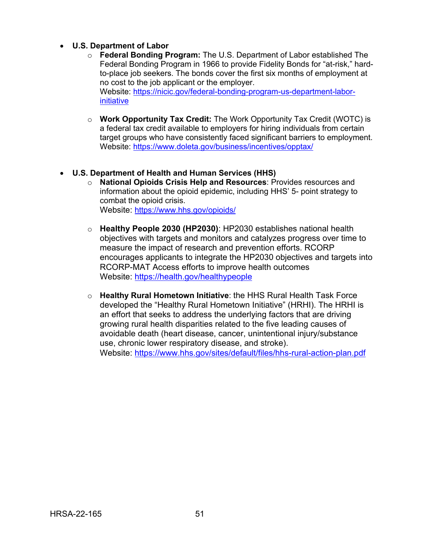#### • **U.S. Department of Labor**

- o **Federal Bonding Program:** The U.S. Department of Labor established The Federal Bonding Program in 1966 to provide Fidelity Bonds for "at-risk," hardto-place job seekers. The bonds cover the first six months of employment at no cost to the job applicant or the employer. Website: [https://nicic.gov/federal-bonding-program-us-department-labor](https://nicic.gov/federal-bonding-program-us-department-labor-initiative)[initiative](https://nicic.gov/federal-bonding-program-us-department-labor-initiative)
- o **Work Opportunity Tax Credit:** The Work Opportunity Tax Credit (WOTC) is a federal tax credit available to employers for hiring individuals from certain target groups who have consistently faced significant barriers to employment. Website:<https://www.doleta.gov/business/incentives/opptax/>

#### • **U.S. Department of Health and Human Services (HHS)**

- o **National Opioids Crisis Help and Resources**: Provides resources and information about the opioid epidemic, including HHS' 5- point strategy to combat the opioid crisis. Website:<https://www.hhs.gov/opioids/>
- o **Healthy People 2030 (HP2030)**: HP2030 establishes national health objectives with targets and monitors and catalyzes progress over time to measure the impact of research and prevention efforts. RCORP encourages applicants to integrate the HP2030 objectives and targets into RCORP-MAT Access efforts to improve health outcomes Website:<https://health.gov/healthypeople>
- o **Healthy Rural Hometown Initiative**: the HHS Rural Health Task Force developed the "Healthy Rural Hometown Initiative" (HRHI). The HRHI is an effort that seeks to address the underlying factors that are driving growing rural health disparities related to the five leading causes of avoidable death (heart disease, cancer, unintentional injury/substance use, chronic lower respiratory disease, and stroke). Website:<https://www.hhs.gov/sites/default/files/hhs-rural-action-plan.pdf>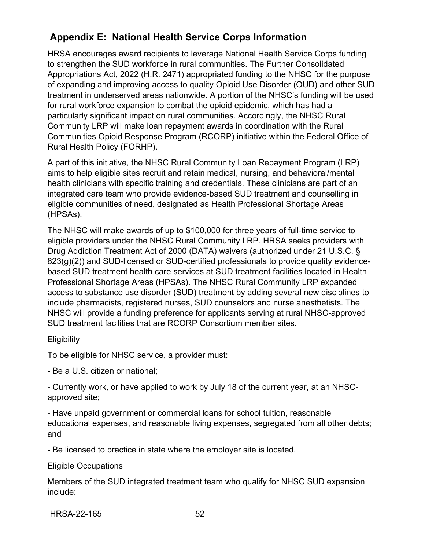# <span id="page-55-0"></span>**Appendix E: National Health Service Corps Information**

HRSA encourages award recipients to leverage National Health Service Corps funding to strengthen the SUD workforce in rural communities. The Further Consolidated Appropriations Act, 2022 (H.R. 2471) appropriated funding to the NHSC for the purpose of expanding and improving access to quality Opioid Use Disorder (OUD) and other SUD treatment in underserved areas nationwide. A portion of the NHSC's funding will be used for rural workforce expansion to combat the opioid epidemic, which has had a particularly significant impact on rural communities. Accordingly, the NHSC Rural Community LRP will make loan repayment awards in coordination with the Rural Communities Opioid Response Program (RCORP) initiative within the Federal Office of Rural Health Policy (FORHP).

A part of this initiative, the NHSC Rural Community Loan Repayment Program (LRP) aims to help eligible sites recruit and retain medical, nursing, and behavioral/mental health clinicians with specific training and credentials. These clinicians are part of an integrated care team who provide evidence-based SUD treatment and counselling in eligible communities of need, designated as Health Professional Shortage Areas (HPSAs).

The NHSC will make awards of up to \$100,000 for three years of full-time service to eligible providers under the NHSC Rural Community LRP. HRSA seeks providers with Drug Addiction Treatment Act of 2000 (DATA) waivers (authorized under 21 U.S.C. § 823(g)(2)) and SUD-licensed or SUD-certified professionals to provide quality evidencebased SUD treatment health care services at SUD treatment facilities located in Health Professional Shortage Areas (HPSAs). The NHSC Rural Community LRP expanded access to substance use disorder (SUD) treatment by adding several new disciplines to include pharmacists, registered nurses, SUD counselors and nurse anesthetists. The NHSC will provide a funding preference for applicants serving at rural NHSC-approved SUD treatment facilities that are RCORP Consortium member sites.

### **Eligibility**

To be eligible for NHSC service, a provider must:

- Be a U.S. citizen or national;

- Currently work, or have applied to work by July 18 of the current year, at an NHSCapproved site;

- Have unpaid government or commercial loans for school tuition, reasonable educational expenses, and reasonable living expenses, segregated from all other debts; and

- Be licensed to practice in state where the employer site is located.

#### Eligible Occupations

Members of the SUD integrated treatment team who qualify for NHSC SUD expansion include:

HRSA-22-165 52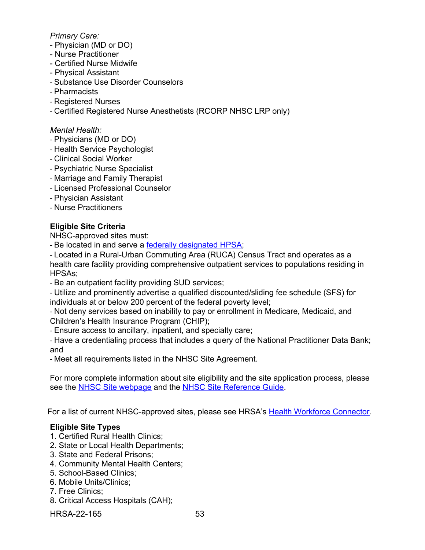#### *Primary Care:*

- Physician (MD or DO)
- Nurse Practitioner
- Certified Nurse Midwife
- Physical Assistant
- Substance Use Disorder Counselors
- Pharmacists
- Registered Nurses
- Certified Registered Nurse Anesthetists (RCORP NHSC LRP only)

#### *Mental Health:*

- Physicians (MD or DO)
- Health Service Psychologist
- Clinical Social Worker
- Psychiatric Nurse Specialist
- Marriage and Family Therapist
- Licensed Professional Counselor
- Physician Assistant
- Nurse Practitioners

#### **Eligible Site Criteria**

NHSC-approved sites must:

- Be located in and serve a [federally designated HPSA;](https://data.hrsa.gov/tools/shortage-area/by-address)

- Located in a Rural-Urban Commuting Area (RUCA) Census Tract and operates as a health care facility providing comprehensive outpatient services to populations residing in HPSAs;

- Be an outpatient facility providing SUD services;

- Utilize and prominently advertise a qualified discounted/sliding fee schedule (SFS) for individuals at or below 200 percent of the federal poverty level;

- Not deny services based on inability to pay or enrollment in Medicare, Medicaid, and Children's Health Insurance Program (CHIP);

- Ensure access to ancillary, inpatient, and specialty care;

- Have a credentialing process that includes a query of the National Practitioner Data Bank; and

- Meet all requirements listed in the NHSC Site Agreement.

For more complete information about site eligibility and the site application process, please see the [NHSC Site webpage](https://nhsc.hrsa.gov/sites) and the [NHSC Site Reference Guide.](https://nhsc.hrsa.gov/sites/default/files/nhsc/nhsc-sites/nhsc-site-reference-guide.pdf)

For a list of current NHSC-approved sites, please see HRSA's [Health Workforce Connector.](https://connector.hrsa.gov/connector/)

#### **Eligible Site Types**

- 1. Certified Rural Health Clinics;
- 2. State or Local Health Departments;
- 3. State and Federal Prisons;
- 4. Community Mental Health Centers;
- 5. School-Based Clinics;
- 6. Mobile Units/Clinics;
- 7. Free Clinics;
- 8. Critical Access Hospitals (CAH);

HRSA-22-165 53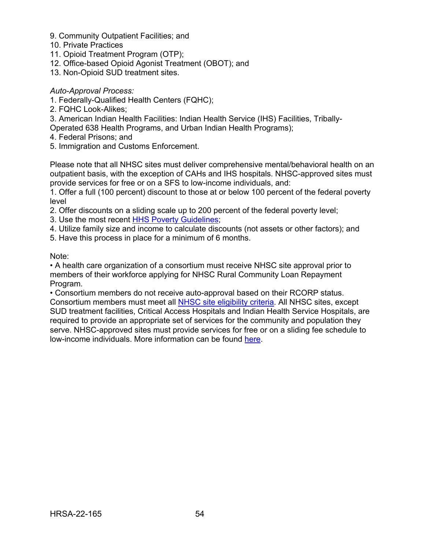- 9. Community Outpatient Facilities; and
- 10. Private Practices
- 11. Opioid Treatment Program (OTP);
- 12. Office-based Opioid Agonist Treatment (OBOT); and
- 13. Non-Opioid SUD treatment sites.

*Auto-Approval Process:* 

- 1. Federally-Qualified Health Centers (FQHC);
- 2. FQHC Look-Alikes;
- 3. American Indian Health Facilities: Indian Health Service (IHS) Facilities, Tribally-
- Operated 638 Health Programs, and Urban Indian Health Programs);
- 4. Federal Prisons; and
- 5. Immigration and Customs Enforcement.

Please note that all NHSC sites must deliver comprehensive mental/behavioral health on an outpatient basis, with the exception of CAHs and IHS hospitals. NHSC-approved sites must provide services for free or on a SFS to low-income individuals, and:

1. Offer a full (100 percent) discount to those at or below 100 percent of the federal poverty level

- 2. Offer discounts on a sliding scale up to 200 percent of the federal poverty level;
- 3. Use the most recent [HHS Poverty Guidelines;](https://aspe.hhs.gov/topics/poverty-economic-mobility/poverty-guidelines)
- 4. Utilize family size and income to calculate discounts (not assets or other factors); and
- 5. Have this process in place for a minimum of 6 months.

Note:

• A health care organization of a consortium must receive NHSC site approval prior to members of their workforce applying for NHSC Rural Community Loan Repayment Program.

• Consortium members do not receive auto-approval based on their RCORP status. Consortium members must meet all [NHSC site eligibility criteria.](https://nhsc.hrsa.gov/sites/eligibility-requirements) All NHSC sites, except SUD treatment facilities, Critical Access Hospitals and Indian Health Service Hospitals, are required to provide an appropriate set of services for the community and population they serve. NHSC-approved sites must provide services for free or on a sliding fee schedule to low-income individuals. More information can be found [here.](https://nhsc.hrsa.gov/sites/default/files/nhsc/nhsc-sites/nhsc-site-reference-guide.pdf)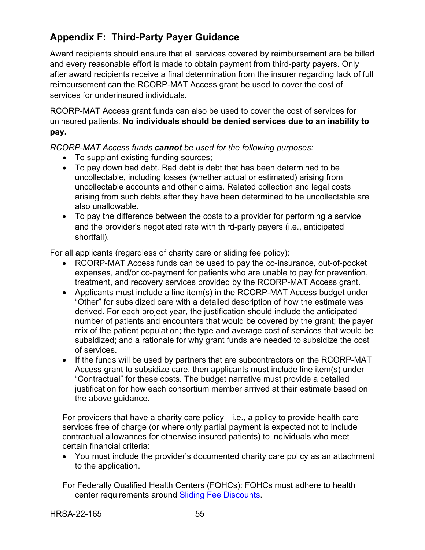# <span id="page-58-0"></span>**Appendix F: Third-Party Payer Guidance**

Award recipients should ensure that all services covered by reimbursement are be billed and every reasonable effort is made to obtain payment from third-party payers. Only after award recipients receive a final determination from the insurer regarding lack of full reimbursement can the RCORP-MAT Access grant be used to cover the cost of services for underinsured individuals.

RCORP-MAT Access grant funds can also be used to cover the cost of services for uninsured patients. **No individuals should be denied services due to an inability to pay.**

*RCORP-MAT Access funds cannot be used for the following purposes:* 

- To supplant existing funding sources;
- To pay down bad debt. Bad debt is debt that has been determined to be uncollectable, including losses (whether actual or estimated) arising from uncollectable accounts and other claims. Related collection and legal costs arising from such debts after they have been determined to be uncollectable are also unallowable.
- To pay the difference between the costs to a provider for performing a service and the provider's negotiated rate with third-party payers (i.e., anticipated shortfall).

For all applicants (regardless of charity care or sliding fee policy):

- RCORP-MAT Access funds can be used to pay the co-insurance, out-of-pocket expenses, and/or co-payment for patients who are unable to pay for prevention, treatment, and recovery services provided by the RCORP-MAT Access grant.
- Applicants must include a line item(s) in the RCORP-MAT Access budget under "Other" for subsidized care with a detailed description of how the estimate was derived. For each project year, the justification should include the anticipated number of patients and encounters that would be covered by the grant; the payer mix of the patient population; the type and average cost of services that would be subsidized; and a rationale for why grant funds are needed to subsidize the cost of services.
- If the funds will be used by partners that are subcontractors on the RCORP-MAT Access grant to subsidize care, then applicants must include line item(s) under "Contractual" for these costs. The budget narrative must provide a detailed justification for how each consortium member arrived at their estimate based on the above guidance.

For providers that have a charity care policy—i.e., a policy to provide health care services free of charge (or where only partial payment is expected not to include contractual allowances for otherwise insured patients) to individuals who meet certain financial criteria:

• You must include the provider's documented charity care policy as an attachment to the application.

For Federally Qualified Health Centers (FQHCs): FQHCs must adhere to health center requirements around [Sliding Fee Discounts.](https://bphc.hrsa.gov/programrequirements/compliancemanual/chapter-9.html)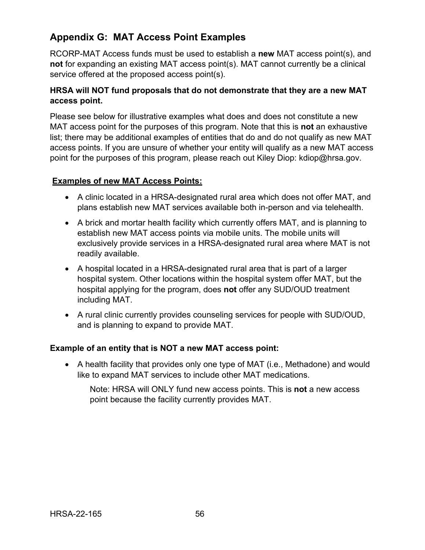# <span id="page-59-0"></span>**Appendix G: MAT Access Point Examples**

RCORP-MAT Access funds must be used to establish a **new** MAT access point(s), and **not** for expanding an existing MAT access point(s). MAT cannot currently be a clinical service offered at the proposed access point(s).

### **HRSA will NOT fund proposals that do not demonstrate that they are a new MAT access point.**

Please see below for illustrative examples what does and does not constitute a new MAT access point for the purposes of this program. Note that this is **not** an exhaustive list; there may be additional examples of entities that do and do not qualify as new MAT access points. If you are unsure of whether your entity will qualify as a new MAT access point for the purposes of this program, please reach out Kiley Diop: kdiop@hrsa.gov.

## **Examples of new MAT Access Points:**

- A clinic located in a HRSA-designated rural area which does not offer MAT, and plans establish new MAT services available both in-person and via telehealth.
- A brick and mortar health facility which currently offers MAT, and is planning to establish new MAT access points via mobile units. The mobile units will exclusively provide services in a HRSA-designated rural area where MAT is not readily available.
- A hospital located in a HRSA-designated rural area that is part of a larger hospital system. Other locations within the hospital system offer MAT, but the hospital applying for the program, does **not** offer any SUD/OUD treatment including MAT.
- A rural clinic currently provides counseling services for people with SUD/OUD, and is planning to expand to provide MAT.

### **Example of an entity that is NOT a new MAT access point:**

• A health facility that provides only one type of MAT (i.e., Methadone) and would like to expand MAT services to include other MAT medications.

Note: HRSA will ONLY fund new access points. This is **not** a new access point because the facility currently provides MAT.